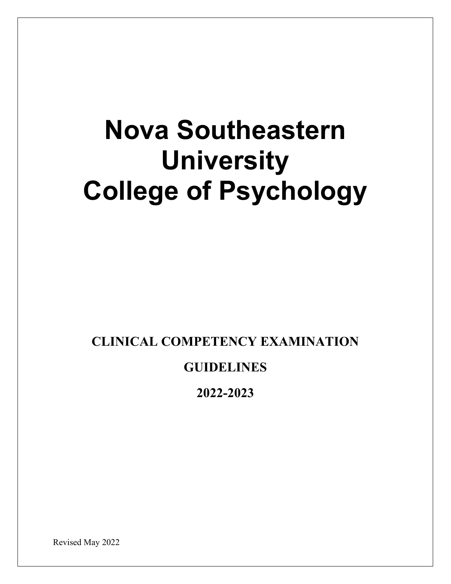# **Nova Southeastern University College of Psychology**

**CLINICAL COMPETENCY EXAMINATION**

# **GUIDELINES**

**2022-2023**

Revised May 2022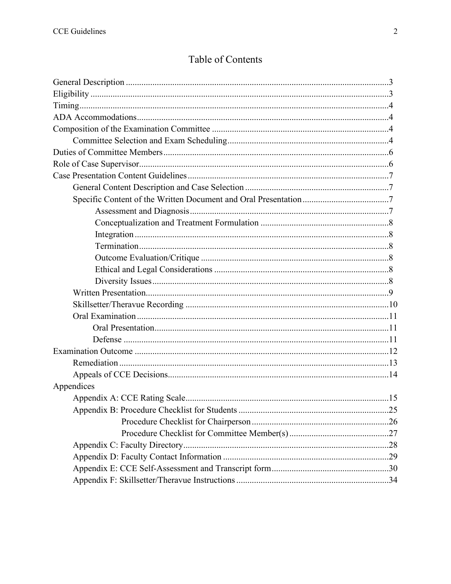# Table of Contents

| Appendices |  |
|------------|--|
|            |  |
|            |  |
|            |  |
|            |  |
|            |  |
|            |  |
|            |  |
|            |  |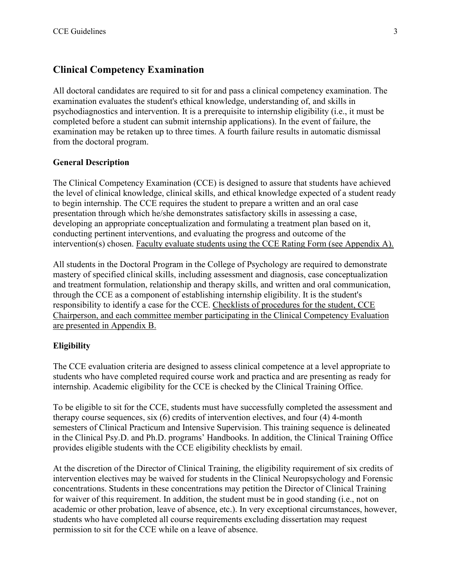# **Clinical Competency Examination**

All doctoral candidates are required to sit for and pass a clinical competency examination. The examination evaluates the student's ethical knowledge, understanding of, and skills in psychodiagnostics and intervention. It is a prerequisite to internship eligibility (i.e., it must be completed before a student can submit internship applications). In the event of failure, the examination may be retaken up to three times. A fourth failure results in automatic dismissal from the doctoral program.

#### **General Description**

The Clinical Competency Examination (CCE) is designed to assure that students have achieved the level of clinical knowledge, clinical skills, and ethical knowledge expected of a student ready to begin internship. The CCE requires the student to prepare a written and an oral case presentation through which he/she demonstrates satisfactory skills in assessing a case, developing an appropriate conceptualization and formulating a treatment plan based on it, conducting pertinent interventions, and evaluating the progress and outcome of the intervention(s) chosen. Faculty evaluate students using the CCE Rating Form (see Appendix A).

All students in the Doctoral Program in the College of Psychology are required to demonstrate mastery of specified clinical skills, including assessment and diagnosis, case conceptualization and treatment formulation, relationship and therapy skills, and written and oral communication, through the CCE as a component of establishing internship eligibility. It is the student's responsibility to identify a case for the CCE. Checklists of procedures for the student, CCE Chairperson, and each committee member participating in the Clinical Competency Evaluation are presented in Appendix B.

# **Eligibility**

The CCE evaluation criteria are designed to assess clinical competence at a level appropriate to students who have completed required course work and practica and are presenting as ready for internship. Academic eligibility for the CCE is checked by the Clinical Training Office.

To be eligible to sit for the CCE, students must have successfully completed the assessment and therapy course sequences, six (6) credits of intervention electives, and four (4) 4-month semesters of Clinical Practicum and Intensive Supervision. This training sequence is delineated in the Clinical Psy.D. and Ph.D. programs' Handbooks. In addition, the Clinical Training Office provides eligible students with the CCE eligibility checklists by email.

At the discretion of the Director of Clinical Training, the eligibility requirement of six credits of intervention electives may be waived for students in the Clinical Neuropsychology and Forensic concentrations. Students in these concentrations may petition the Director of Clinical Training for waiver of this requirement. In addition, the student must be in good standing (i.e., not on academic or other probation, leave of absence, etc.). In very exceptional circumstances, however, students who have completed all course requirements excluding dissertation may request permission to sit for the CCE while on a leave of absence.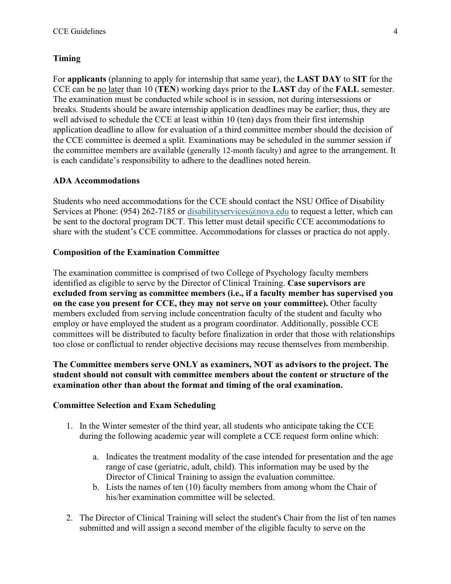#### **Timing**

For **applicants** (planning to apply for internship that same year), the **LAST DAY** to **SIT** for the CCE can be no later than 10 (**TEN**) working days prior to the **LAST** day of the **FALL** semester. The examination must be conducted while school is in session, not during intersessions or breaks. Students should be aware internship application deadlines may be earlier; thus, they are well advised to schedule the CCE at least within 10 (ten) days from their first internship application deadline to allow for evaluation of a third committee member should the decision of the CCE committee is deemed a split. Examinations may be scheduled in the summer session if the committee members are available (generally 12-month faculty) and agree to the arrangement. It is each candidate's responsibility to adhere to the deadlines noted herein.

#### **ADA Accommodations**

Students who need accommodations for the CCE should contact the NSU Office of Disability Services at Phone: (954) 262-7185 or disability services  $@nowa.edu$  to request a letter, which can be sent to the doctoral program DCT. This letter must detail specific CCE accommodations to share with the student's CCE committee. Accommodations for classes or practica do not apply.

#### **Composition of the Examination Committee**

The examination committee is comprised of two College of Psychology faculty members identified as eligible to serve by the Director of Clinical Training. **Case supervisors are excluded from serving as committee members (i.e., if a faculty member has supervised you on the case you present for CCE, they may not serve on your committee).** Other faculty members excluded from serving include concentration faculty of the student and faculty who employ or have employed the student as a program coordinator. Additionally, possible CCE committees will be distributed to faculty before finalization in order that those with relationships too close or conflictual to render objective decisions may recuse themselves from membership.

# **The Committee members serve ONLY as examiners, NOT as advisors to the project. The student should not consult with committee members about the content or structure of the examination other than about the format and timing of the oral examination.**

#### **Committee Selection and Exam Scheduling**

- 1. In the Winter semester of the third year, all students who anticipate taking the CCE during the following academic year will complete a CCE request form online which:
	- a. Indicates the treatment modality of the case intended for presentation and the age range of case (geriatric, adult, child). This information may be used by the Director of Clinical Training to assign the evaluation committee.
	- b. Lists the names of ten (10) faculty members from among whom the Chair of his/her examination committee will be selected.
- 2. The Director of Clinical Training will select the student's Chair from the list of ten names submitted and will assign a second member of the eligible faculty to serve on the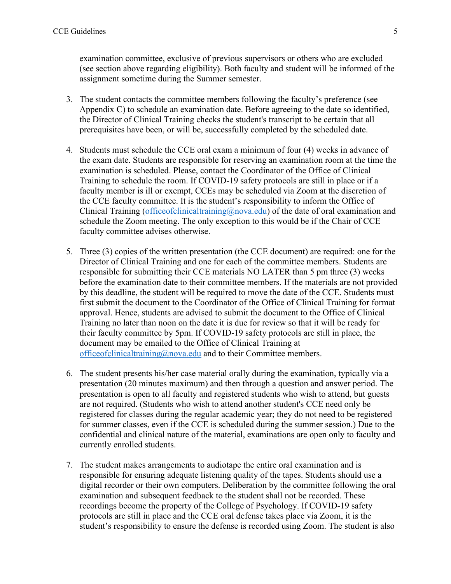examination committee, exclusive of previous supervisors or others who are excluded (see section above regarding eligibility). Both faculty and student will be informed of the assignment sometime during the Summer semester.

- 3. The student contacts the committee members following the faculty's preference (see Appendix C) to schedule an examination date. Before agreeing to the date so identified, the Director of Clinical Training checks the student's transcript to be certain that all prerequisites have been, or will be, successfully completed by the scheduled date.
- 4. Students must schedule the CCE oral exam a minimum of four (4) weeks in advance of the exam date. Students are responsible for reserving an examination room at the time the examination is scheduled. Please, contact the Coordinator of the Office of Clinical Training to schedule the room. If COVID-19 safety protocols are still in place or if a faculty member is ill or exempt, CCEs may be scheduled via Zoom at the discretion of the CCE faculty committee. It is the student's responsibility to inform the Office of Clinical Training (officeofclinicaltraining  $(\partial_{0}N_{0})$  of the date of oral examination and schedule the Zoom meeting. The only exception to this would be if the Chair of CCE faculty committee advises otherwise.
- 5. Three (3) copies of the written presentation (the CCE document) are required: one for the Director of Clinical Training and one for each of the committee members. Students are responsible for submitting their CCE materials NO LATER than 5 pm three (3) weeks before the examination date to their committee members. If the materials are not provided by this deadline, the student will be required to move the date of the CCE. Students must first submit the document to the Coordinator of the Office of Clinical Training for format approval. Hence, students are advised to submit the document to the Office of Clinical Training no later than noon on the date it is due for review so that it will be ready for their faculty committee by 5pm. If COVID-19 safety protocols are still in place, the document may be emailed to the Office of Clinical Training at [officeofclinicaltraining@nova.edu](mailto:officeofclinicaltraining@nova.edu) and to their Committee members.
- 6. The student presents his/her case material orally during the examination, typically via a presentation (20 minutes maximum) and then through a question and answer period. The presentation is open to all faculty and registered students who wish to attend, but guests are not required. (Students who wish to attend another student's CCE need only be registered for classes during the regular academic year; they do not need to be registered for summer classes, even if the CCE is scheduled during the summer session.) Due to the confidential and clinical nature of the material, examinations are open only to faculty and currently enrolled students.
- 7. The student makes arrangements to audiotape the entire oral examination and is responsible for ensuring adequate listening quality of the tapes. Students should use a digital recorder or their own computers. Deliberation by the committee following the oral examination and subsequent feedback to the student shall not be recorded. These recordings become the property of the College of Psychology. If COVID-19 safety protocols are still in place and the CCE oral defense takes place via Zoom, it is the student's responsibility to ensure the defense is recorded using Zoom. The student is also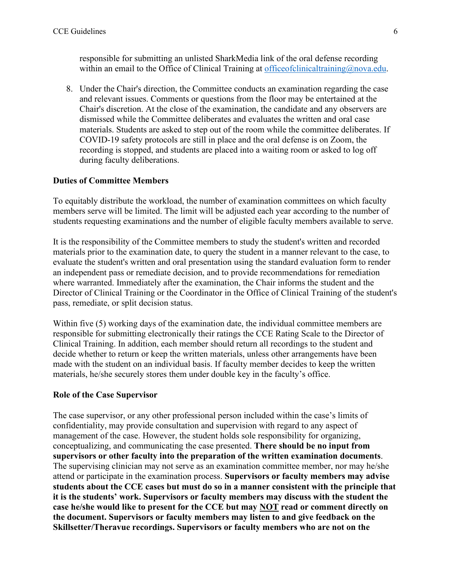responsible for submitting an unlisted SharkMedia link of the oral defense recording within an email to the Office of Clinical Training at office of clinical training  $\omega$  nova.edu.

8. Under the Chair's direction, the Committee conducts an examination regarding the case and relevant issues. Comments or questions from the floor may be entertained at the Chair's discretion. At the close of the examination, the candidate and any observers are dismissed while the Committee deliberates and evaluates the written and oral case materials. Students are asked to step out of the room while the committee deliberates. If COVID-19 safety protocols are still in place and the oral defense is on Zoom, the recording is stopped, and students are placed into a waiting room or asked to log off during faculty deliberations.

#### **Duties of Committee Members**

To equitably distribute the workload, the number of examination committees on which faculty members serve will be limited. The limit will be adjusted each year according to the number of students requesting examinations and the number of eligible faculty members available to serve.

It is the responsibility of the Committee members to study the student's written and recorded materials prior to the examination date, to query the student in a manner relevant to the case, to evaluate the student's written and oral presentation using the standard evaluation form to render an independent pass or remediate decision, and to provide recommendations for remediation where warranted. Immediately after the examination, the Chair informs the student and the Director of Clinical Training or the Coordinator in the Office of Clinical Training of the student's pass, remediate, or split decision status.

Within five (5) working days of the examination date, the individual committee members are responsible for submitting electronically their ratings the CCE Rating Scale to the Director of Clinical Training. In addition, each member should return all recordings to the student and decide whether to return or keep the written materials, unless other arrangements have been made with the student on an individual basis. If faculty member decides to keep the written materials, he/she securely stores them under double key in the faculty's office.

#### **Role of the Case Supervisor**

The case supervisor, or any other professional person included within the case's limits of confidentiality, may provide consultation and supervision with regard to any aspect of management of the case. However, the student holds sole responsibility for organizing, conceptualizing, and communicating the case presented. **There should be no input from supervisors or other faculty into the preparation of the written examination documents**. The supervising clinician may not serve as an examination committee member, nor may he/she attend or participate in the examination process. **Supervisors or faculty members may advise students about the CCE cases but must do so in a manner consistent with the principle that it is the students' work. Supervisors or faculty members may discuss with the student the case he/she would like to present for the CCE but may NOT read or comment directly on the document. Supervisors or faculty members may listen to and give feedback on the Skillsetter/Theravue recordings. Supervisors or faculty members who are not on the**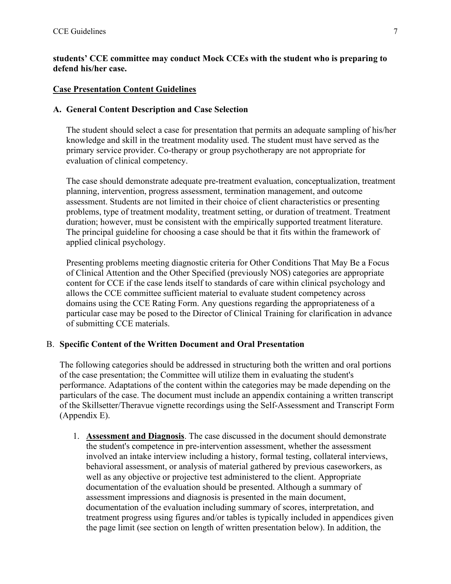# **students' CCE committee may conduct Mock CCEs with the student who is preparing to defend his/her case.**

#### **Case Presentation Content Guidelines**

#### **A. General Content Description and Case Selection**

The student should select a case for presentation that permits an adequate sampling of his/her knowledge and skill in the treatment modality used. The student must have served as the primary service provider. Co-therapy or group psychotherapy are not appropriate for evaluation of clinical competency.

The case should demonstrate adequate pre-treatment evaluation, conceptualization, treatment planning, intervention, progress assessment, termination management, and outcome assessment. Students are not limited in their choice of client characteristics or presenting problems, type of treatment modality, treatment setting, or duration of treatment. Treatment duration; however, must be consistent with the empirically supported treatment literature. The principal guideline for choosing a case should be that it fits within the framework of applied clinical psychology.

Presenting problems meeting diagnostic criteria for Other Conditions That May Be a Focus of Clinical Attention and the Other Specified (previously NOS) categories are appropriate content for CCE if the case lends itself to standards of care within clinical psychology and allows the CCE committee sufficient material to evaluate student competency across domains using the CCE Rating Form. Any questions regarding the appropriateness of a particular case may be posed to the Director of Clinical Training for clarification in advance of submitting CCE materials.

# B. **Specific Content of the Written Document and Oral Presentation**

The following categories should be addressed in structuring both the written and oral portions of the case presentation; the Committee will utilize them in evaluating the student's performance. Adaptations of the content within the categories may be made depending on the particulars of the case. The document must include an appendix containing a written transcript of the Skillsetter/Theravue vignette recordings using the Self-Assessment and Transcript Form (Appendix E).

1. **Assessment and Diagnosis**. The case discussed in the document should demonstrate the student's competence in pre-intervention assessment, whether the assessment involved an intake interview including a history, formal testing, collateral interviews, behavioral assessment, or analysis of material gathered by previous caseworkers, as well as any objective or projective test administered to the client. Appropriate documentation of the evaluation should be presented. Although a summary of assessment impressions and diagnosis is presented in the main document, documentation of the evaluation including summary of scores, interpretation, and treatment progress using figures and/or tables is typically included in appendices given the page limit (see section on length of written presentation below). In addition, the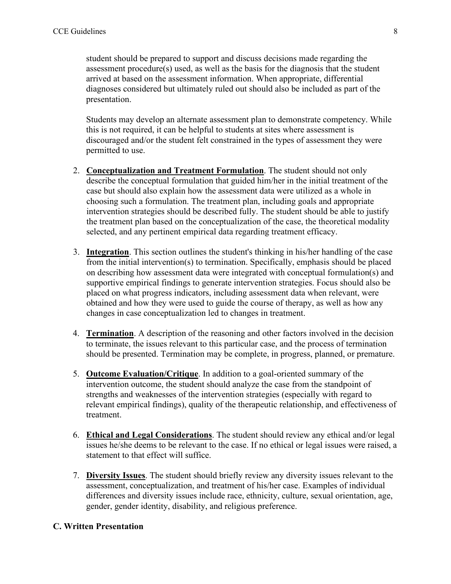student should be prepared to support and discuss decisions made regarding the assessment procedure(s) used, as well as the basis for the diagnosis that the student arrived at based on the assessment information. When appropriate, differential diagnoses considered but ultimately ruled out should also be included as part of the presentation.

Students may develop an alternate assessment plan to demonstrate competency. While this is not required, it can be helpful to students at sites where assessment is discouraged and/or the student felt constrained in the types of assessment they were permitted to use.

- 2. **Conceptualization and Treatment Formulation**. The student should not only describe the conceptual formulation that guided him/her in the initial treatment of the case but should also explain how the assessment data were utilized as a whole in choosing such a formulation. The treatment plan, including goals and appropriate intervention strategies should be described fully. The student should be able to justify the treatment plan based on the conceptualization of the case, the theoretical modality selected, and any pertinent empirical data regarding treatment efficacy.
- 3. **Integration**. This section outlines the student's thinking in his/her handling of the case from the initial intervention(s) to termination. Specifically, emphasis should be placed on describing how assessment data were integrated with conceptual formulation(s) and supportive empirical findings to generate intervention strategies. Focus should also be placed on what progress indicators, including assessment data when relevant, were obtained and how they were used to guide the course of therapy, as well as how any changes in case conceptualization led to changes in treatment.
- 4. **Termination**. A description of the reasoning and other factors involved in the decision to terminate, the issues relevant to this particular case, and the process of termination should be presented. Termination may be complete, in progress, planned, or premature.
- 5. **Outcome Evaluation/Critique**. In addition to a goal-oriented summary of the intervention outcome, the student should analyze the case from the standpoint of strengths and weaknesses of the intervention strategies (especially with regard to relevant empirical findings), quality of the therapeutic relationship, and effectiveness of treatment.
- 6. **Ethical and Legal Considerations**. The student should review any ethical and/or legal issues he/she deems to be relevant to the case. If no ethical or legal issues were raised, a statement to that effect will suffice.
- 7. **Diversity Issues**. The student should briefly review any diversity issues relevant to the assessment, conceptualization, and treatment of his/her case. Examples of individual differences and diversity issues include race, ethnicity, culture, sexual orientation, age, gender, gender identity, disability, and religious preference.

#### **C. Written Presentation**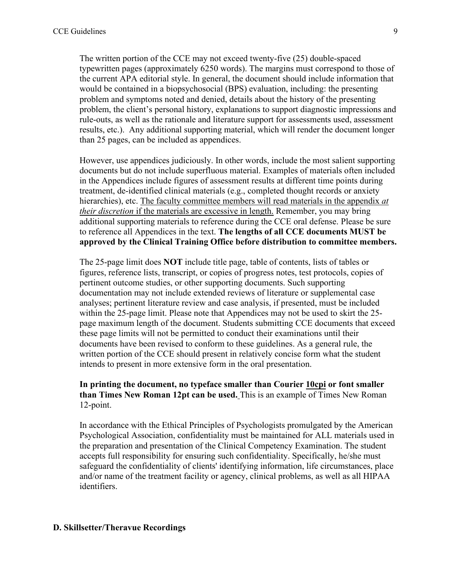The written portion of the CCE may not exceed twenty-five (25) double-spaced typewritten pages (approximately 6250 words). The margins must correspond to those of the current APA editorial style. In general, the document should include information that would be contained in a biopsychosocial (BPS) evaluation, including: the presenting problem and symptoms noted and denied, details about the history of the presenting problem, the client's personal history, explanations to support diagnostic impressions and rule-outs, as well as the rationale and literature support for assessments used, assessment results, etc.). Any additional supporting material, which will render the document longer than 25 pages, can be included as appendices.

However, use appendices judiciously. In other words, include the most salient supporting documents but do not include superfluous material. Examples of materials often included in the Appendices include figures of assessment results at different time points during treatment, de-identified clinical materials (e.g., completed thought records or anxiety hierarchies), etc. The faculty committee members will read materials in the appendix *at their discretion* if the materials are excessive in length. Remember, you may bring additional supporting materials to reference during the CCE oral defense. Please be sure to reference all Appendices in the text. **The lengths of all CCE documents MUST be approved by the Clinical Training Office before distribution to committee members.**

The 25-page limit does **NOT** include title page, table of contents, lists of tables or figures, reference lists, transcript, or copies of progress notes, test protocols, copies of pertinent outcome studies, or other supporting documents. Such supporting documentation may not include extended reviews of literature or supplemental case analyses; pertinent literature review and case analysis, if presented, must be included within the 25-page limit. Please note that Appendices may not be used to skirt the 25 page maximum length of the document. Students submitting CCE documents that exceed these page limits will not be permitted to conduct their examinations until their documents have been revised to conform to these guidelines. As a general rule, the written portion of the CCE should present in relatively concise form what the student intends to present in more extensive form in the oral presentation.

#### **In printing the document, no typeface smaller than Courier 10cpi or font smaller than Times New Roman 12pt can be used.** This is an example of Times New Roman 12-point.

In accordance with the Ethical Principles of Psychologists promulgated by the American Psychological Association, confidentiality must be maintained for ALL materials used in the preparation and presentation of the Clinical Competency Examination. The student accepts full responsibility for ensuring such confidentiality. Specifically, he/she must safeguard the confidentiality of clients' identifying information, life circumstances, place and/or name of the treatment facility or agency, clinical problems, as well as all HIPAA identifiers.

#### **D. Skillsetter/Theravue Recordings**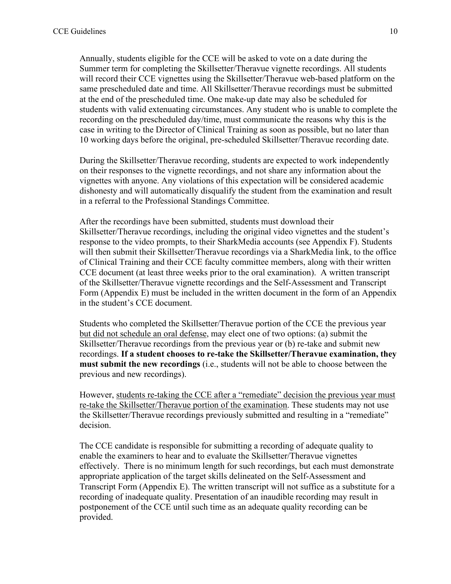Annually, students eligible for the CCE will be asked to vote on a date during the Summer term for completing the Skillsetter/Theravue vignette recordings. All students will record their CCE vignettes using the Skillsetter/Theravue web-based platform on the same prescheduled date and time. All Skillsetter/Theravue recordings must be submitted at the end of the prescheduled time. One make-up date may also be scheduled for students with valid extenuating circumstances. Any student who is unable to complete the recording on the prescheduled day/time, must communicate the reasons why this is the case in writing to the Director of Clinical Training as soon as possible, but no later than 10 working days before the original, pre-scheduled Skillsetter/Theravue recording date.

During the Skillsetter/Theravue recording, students are expected to work independently on their responses to the vignette recordings, and not share any information about the vignettes with anyone. Any violations of this expectation will be considered academic dishonesty and will automatically disqualify the student from the examination and result in a referral to the Professional Standings Committee.

After the recordings have been submitted, students must download their Skillsetter/Theravue recordings, including the original video vignettes and the student's response to the video prompts, to their SharkMedia accounts (see Appendix F). Students will then submit their Skillsetter/Theravue recordings via a SharkMedia link, to the office of Clinical Training and their CCE faculty committee members, along with their written CCE document (at least three weeks prior to the oral examination). A written transcript of the Skillsetter/Theravue vignette recordings and the Self-Assessment and Transcript Form (Appendix E) must be included in the written document in the form of an Appendix in the student's CCE document.

Students who completed the Skillsetter/Theravue portion of the CCE the previous year but did not schedule an oral defense, may elect one of two options: (a) submit the Skillsetter/Theravue recordings from the previous year or (b) re-take and submit new recordings. **If a student chooses to re-take the Skillsetter/Theravue examination, they must submit the new recordings** (i.e., students will not be able to choose between the previous and new recordings).

However, students re-taking the CCE after a "remediate" decision the previous year must re-take the Skillsetter/Theravue portion of the examination. These students may not use the Skillsetter/Theravue recordings previously submitted and resulting in a "remediate" decision.

The CCE candidate is responsible for submitting a recording of adequate quality to enable the examiners to hear and to evaluate the Skillsetter/Theravue vignettes effectively. There is no minimum length for such recordings, but each must demonstrate appropriate application of the target skills delineated on the Self-Assessment and Transcript Form (Appendix E). The written transcript will not suffice as a substitute for a recording of inadequate quality. Presentation of an inaudible recording may result in postponement of the CCE until such time as an adequate quality recording can be provided.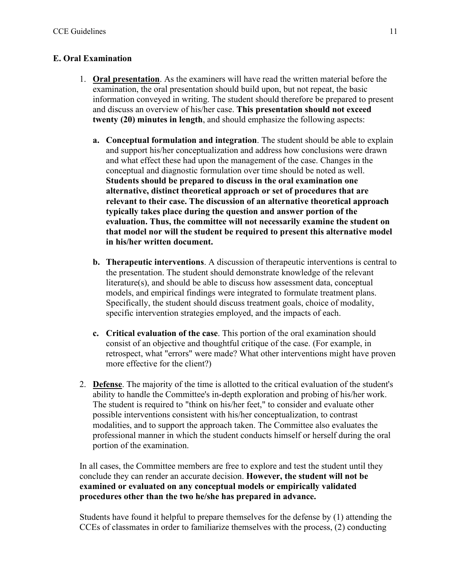# **E. Oral Examination**

- 1. **Oral presentation**. As the examiners will have read the written material before the examination, the oral presentation should build upon, but not repeat, the basic information conveyed in writing. The student should therefore be prepared to present and discuss an overview of his/her case. **This presentation should not exceed twenty (20) minutes in length**, and should emphasize the following aspects:
	- **a. Conceptual formulation and integration**. The student should be able to explain and support his/her conceptualization and address how conclusions were drawn and what effect these had upon the management of the case. Changes in the conceptual and diagnostic formulation over time should be noted as well. **Students should be prepared to discuss in the oral examination one alternative, distinct theoretical approach or set of procedures that are relevant to their case. The discussion of an alternative theoretical approach typically takes place during the question and answer portion of the evaluation. Thus, the committee will not necessarily examine the student on that model nor will the student be required to present this alternative model in his/her written document.**
	- **b. Therapeutic interventions**. A discussion of therapeutic interventions is central to the presentation. The student should demonstrate knowledge of the relevant literature(s), and should be able to discuss how assessment data, conceptual models, and empirical findings were integrated to formulate treatment plans. Specifically, the student should discuss treatment goals, choice of modality, specific intervention strategies employed, and the impacts of each.
	- **c. Critical evaluation of the case**. This portion of the oral examination should consist of an objective and thoughtful critique of the case. (For example, in retrospect, what "errors" were made? What other interventions might have proven more effective for the client?)
- 2. **Defense**. The majority of the time is allotted to the critical evaluation of the student's ability to handle the Committee's in-depth exploration and probing of his/her work. The student is required to "think on his/her feet," to consider and evaluate other possible interventions consistent with his/her conceptualization, to contrast modalities, and to support the approach taken. The Committee also evaluates the professional manner in which the student conducts himself or herself during the oral portion of the examination.

In all cases, the Committee members are free to explore and test the student until they conclude they can render an accurate decision. **However, the student will not be examined or evaluated on any conceptual models or empirically validated procedures other than the two he/she has prepared in advance.**

Students have found it helpful to prepare themselves for the defense by (1) attending the CCEs of classmates in order to familiarize themselves with the process, (2) conducting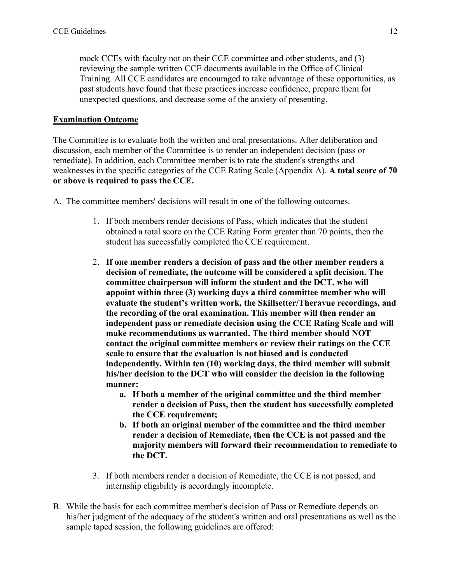mock CCEs with faculty not on their CCE committee and other students, and (3) reviewing the sample written CCE documents available in the Office of Clinical Training. All CCE candidates are encouraged to take advantage of these opportunities, as past students have found that these practices increase confidence, prepare them for unexpected questions, and decrease some of the anxiety of presenting.

#### **Examination Outcome**

The Committee is to evaluate both the written and oral presentations. After deliberation and discussion, each member of the Committee is to render an independent decision (pass or remediate). In addition, each Committee member is to rate the student's strengths and weaknesses in the specific categories of the CCE Rating Scale (Appendix A). **A total score of 70 or above is required to pass the CCE.**

A. The committee members' decisions will result in one of the following outcomes.

- 1. If both members render decisions of Pass, which indicates that the student obtained a total score on the CCE Rating Form greater than 70 points, then the student has successfully completed the CCE requirement.
- 2. **If one member renders a decision of pass and the other member renders a decision of remediate, the outcome will be considered a split decision. The committee chairperson will inform the student and the DCT, who will appoint within three (3) working days a third committee member who will evaluate the student's written work, the Skillsetter/Theravue recordings, and the recording of the oral examination. This member will then render an independent pass or remediate decision using the CCE Rating Scale and will make recommendations as warranted. The third member should NOT contact the original committee members or review their ratings on the CCE scale to ensure that the evaluation is not biased and is conducted independently. Within ten (10) working days, the third member will submit his/her decision to the DCT who will consider the decision in the following manner:**
	- **a. If both a member of the original committee and the third member render a decision of Pass, then the student has successfully completed the CCE requirement;**
	- **b. If both an original member of the committee and the third member render a decision of Remediate, then the CCE is not passed and the majority members will forward their recommendation to remediate to the DCT.**
- 3. If both members render a decision of Remediate, the CCE is not passed, and internship eligibility is accordingly incomplete.
- B. While the basis for each committee member's decision of Pass or Remediate depends on his/her judgment of the adequacy of the student's written and oral presentations as well as the sample taped session, the following guidelines are offered: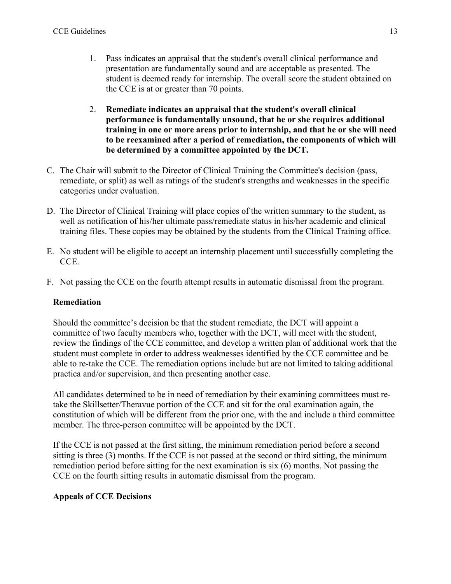- 1. Pass indicates an appraisal that the student's overall clinical performance and presentation are fundamentally sound and are acceptable as presented. The student is deemed ready for internship. The overall score the student obtained on the CCE is at or greater than 70 points.
- 2. **Remediate indicates an appraisal that the student's overall clinical performance is fundamentally unsound, that he or she requires additional training in one or more areas prior to internship, and that he or she will need to be reexamined after a period of remediation, the components of which will be determined by a committee appointed by the DCT.**
- C. The Chair will submit to the Director of Clinical Training the Committee's decision (pass, remediate, or split) as well as ratings of the student's strengths and weaknesses in the specific categories under evaluation.
- D. The Director of Clinical Training will place copies of the written summary to the student, as well as notification of his/her ultimate pass/remediate status in his/her academic and clinical training files. These copies may be obtained by the students from the Clinical Training office.
- E. No student will be eligible to accept an internship placement until successfully completing the CCE.
- F. Not passing the CCE on the fourth attempt results in automatic dismissal from the program.

# **Remediation**

Should the committee's decision be that the student remediate, the DCT will appoint a committee of two faculty members who, together with the DCT, will meet with the student, review the findings of the CCE committee, and develop a written plan of additional work that the student must complete in order to address weaknesses identified by the CCE committee and be able to re-take the CCE. The remediation options include but are not limited to taking additional practica and/or supervision, and then presenting another case.

All candidates determined to be in need of remediation by their examining committees must retake the Skillsetter/Theravue portion of the CCE and sit for the oral examination again, the constitution of which will be different from the prior one, with the and include a third committee member. The three-person committee will be appointed by the DCT.

If the CCE is not passed at the first sitting, the minimum remediation period before a second sitting is three (3) months. If the CCE is not passed at the second or third sitting, the minimum remediation period before sitting for the next examination is six (6) months. Not passing the CCE on the fourth sitting results in automatic dismissal from the program.

# **Appeals of CCE Decisions**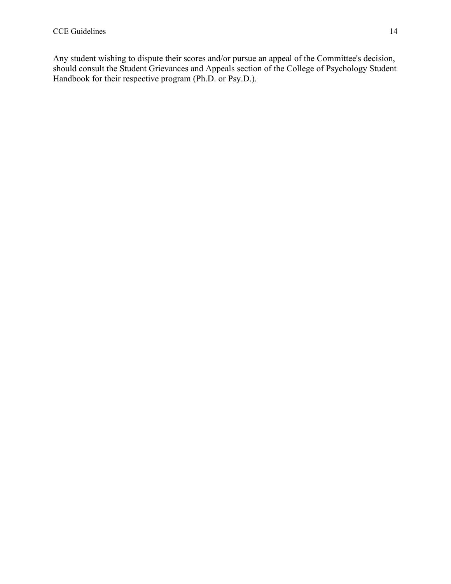Any student wishing to dispute their scores and/or pursue an appeal of the Committee's decision, should consult the Student Grievances and Appeals section of the College of Psychology Student Handbook for their respective program (Ph.D. or Psy.D.).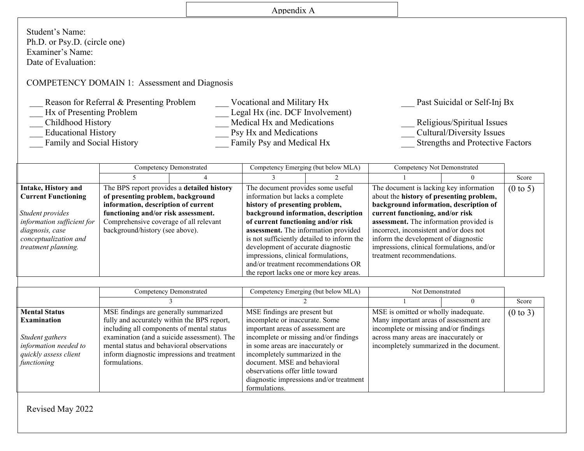# Appendix A

٦

Student's Name: Ph.D. or Psy.D. (circle one) Examiner's Name: Date of Evaluation:

# COMPETENCY DOMAIN 1: Assessment and Diagnosis

| Reason for Referral & Presenting Problem | Vocational and Military Hx      | Past Suicidal or Self-Inj Bx            |
|------------------------------------------|---------------------------------|-----------------------------------------|
| Hx of Presenting Problem                 | Legal Hx (inc. DCF Involvement) |                                         |
| Childhood History                        | Medical Hx and Medications      | Religious/Spiritual Issues              |
| <b>Educational History</b>               | Psy Hx and Medications          | Cultural/Diversity Issues               |
| Family and Social History                | Family Psy and Medical Hx       | <b>Strengths and Protective Factors</b> |

|                            | Competency Demonstrated                    |  |                                                                         | Competency Emerging (but below MLA)        | Competency Not Demonstrated                    |                     |
|----------------------------|--------------------------------------------|--|-------------------------------------------------------------------------|--------------------------------------------|------------------------------------------------|---------------------|
|                            |                                            |  |                                                                         |                                            |                                                | Score               |
| Intake, History and        | The BPS report provides a detailed history |  | The document provides some useful                                       |                                            | The document is lacking key information        | $(0 \text{ to } 5)$ |
| <b>Current Functioning</b> | of presenting problem, background          |  | information but lacks a complete                                        |                                            | about the history of presenting problem,       |                     |
|                            | information, description of current        |  | history of presenting problem,                                          |                                            | background information, description of         |                     |
| Student provides           | functioning and/or risk assessment.        |  | background information, description<br>current functioning, and/or risk |                                            |                                                |                     |
| information sufficient for | Comprehensive coverage of all relevant     |  | of current functioning and/or risk                                      |                                            | <b>assessment.</b> The information provided is |                     |
| diagnosis, case            | background/history (see above).            |  | assessment. The information provided                                    |                                            | incorrect, inconsistent and/or does not        |                     |
| conceptualization and      |                                            |  |                                                                         | is not sufficiently detailed to inform the | inform the development of diagnostic           |                     |
| treatment planning.        |                                            |  | development of accurate diagnostic                                      |                                            | impressions, clinical formulations, and/or     |                     |
|                            |                                            |  | impressions, clinical formulations,                                     |                                            | treatment recommendations.                     |                     |
|                            |                                            |  | and/or treatment recommendations OR                                     |                                            |                                                |                     |
|                            |                                            |  | the report lacks one or more key areas.                                 |                                            |                                                |                     |

|                               | Competency Demonstrated                     | Competency Emerging (but below MLA)     | Not Demonstrated                         |  |                     |
|-------------------------------|---------------------------------------------|-----------------------------------------|------------------------------------------|--|---------------------|
|                               |                                             |                                         |                                          |  |                     |
| Mental Status                 | MSE findings are generally summarized       | MSE findings are present but            | MSE is omitted or wholly inadequate.     |  | $(0 \text{ to } 3)$ |
| $\parallel$ Examination       | fully and accurately within the BPS report, | incomplete or inaccurate. Some          | Many important areas of assessment are   |  |                     |
|                               | including all components of mental status   | important areas of assessment are       | incomplete or missing and/or findings    |  |                     |
| Student gathers               | examination (and a suicide assessment). The | incomplete or missing and/or findings   | across many areas are inaccurately or    |  |                     |
| information needed to         | mental status and behavioral observations   | in some areas are inaccurately or       | incompletely summarized in the document. |  |                     |
| $\vert$ quickly assess client | inform diagnostic impressions and treatment | incompletely summarized in the          |                                          |  |                     |
| <i>functioning</i>            | formulations.                               | document. MSE and behavioral            |                                          |  |                     |
|                               |                                             | observations offer little toward        |                                          |  |                     |
|                               |                                             | diagnostic impressions and/or treatment |                                          |  |                     |
|                               |                                             | formulations.                           |                                          |  |                     |

Revised May 2022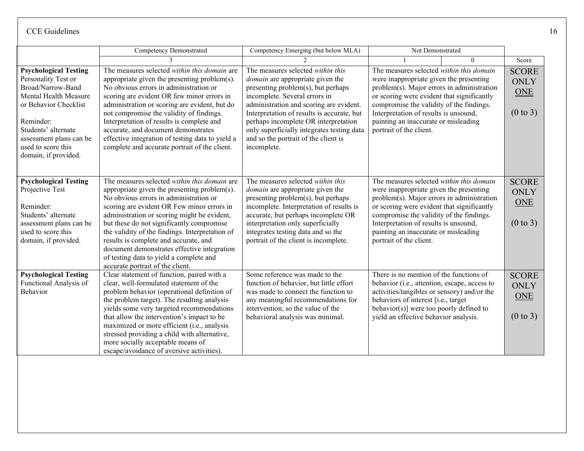|                                                                                                                                                                                                                                         | <b>Competency Demonstrated</b>                                                                                                                                                                                                                                                                                                                                                                                                                                                                             | Competency Emerging (but below MLA)                                                                                                                                                                                                                                                                                                                                                       | Not Demonstrated                                                                                                                                                                                                                                                                                                                        |          |                                                                  |
|-----------------------------------------------------------------------------------------------------------------------------------------------------------------------------------------------------------------------------------------|------------------------------------------------------------------------------------------------------------------------------------------------------------------------------------------------------------------------------------------------------------------------------------------------------------------------------------------------------------------------------------------------------------------------------------------------------------------------------------------------------------|-------------------------------------------------------------------------------------------------------------------------------------------------------------------------------------------------------------------------------------------------------------------------------------------------------------------------------------------------------------------------------------------|-----------------------------------------------------------------------------------------------------------------------------------------------------------------------------------------------------------------------------------------------------------------------------------------------------------------------------------------|----------|------------------------------------------------------------------|
|                                                                                                                                                                                                                                         |                                                                                                                                                                                                                                                                                                                                                                                                                                                                                                            |                                                                                                                                                                                                                                                                                                                                                                                           |                                                                                                                                                                                                                                                                                                                                         | $\Omega$ | Score                                                            |
| <b>Psychological Testing</b><br>Personality Test or<br>Broad/Narrow-Band<br>Mental Health Measure<br>or Behavior Checklist<br>Reminder:<br>Students' alternate<br>assessment plans can be<br>used to score this<br>domain, if provided. | The measures selected within this domain are<br>appropriate given the presenting problem(s).<br>No obvious errors in administration or<br>scoring are evident OR few minor errors in<br>administration or scoring are evident, but do<br>not compromise the validity of findings.<br>Interpretation of results is complete and<br>accurate, and document demonstrates<br>effective integration of testing data to yield a<br>complete and accurate portrait of the client.                                 | The measures selected within this<br><i>domain</i> are appropriate given the<br>presenting problem(s), but perhaps<br>incomplete. Several errors in<br>administration and scoring are evident.<br>Interpretation of results is accurate, but<br>perhaps incomplete OR interpretation<br>only superficially integrates testing data<br>and so the portrait of the client is<br>incomplete. | The measures selected within this domain<br>were inappropriate given the presenting<br>problem(s). Major errors in administration<br>or scoring were evident that significantly<br>compromise the validity of the findings.<br>Interpretation of results is unsound,<br>painting an inaccurate or misleading<br>portrait of the client. |          | <b>SCORE</b><br>ONLY<br>ONE<br>$(0 \text{ to } 3)$               |
| <b>Psychological Testing</b><br>Projective Test<br>Reminder:<br>Students' alternate<br>assessment plans can be<br>used to score this<br>domain, if provided.                                                                            | The measures selected within this domain are<br>appropriate given the presenting problem(s).<br>No obvious errors in administration or<br>scoring are evident OR Few minor errors in<br>administration or scoring might be evident,<br>but these do not significantly compromise<br>the validity of the findings. Interpretation of<br>results is complete and accurate, and<br>document demonstrates effective integration<br>of testing data to yield a complete and<br>accurate portrait of the client. | The measures selected within this<br>domain are appropriate given the<br>presenting problem(s), but perhaps<br>incomplete. Interpretation of results is<br>accurate, but perhaps incomplete OR<br>interpretation only superficially<br>integrates testing data and so the<br>portrait of the client is incomplete.                                                                        | The measures selected within this domain<br>were inappropriate given the presenting<br>problem(s). Major errors in administration<br>or scoring were evident that significantly<br>compromise the validity of the findings.<br>Interpretation of results is unsound,<br>painting an inaccurate or misleading<br>portrait of the client. |          | <b>SCORE</b><br><b>ONLY</b><br><b>ONE</b><br>$(0 \text{ to } 3)$ |
| <b>Psychological Testing</b><br>Functional Analysis of<br>Behavior                                                                                                                                                                      | Clear statement of function, paired with a<br>clear, well-formulated statement of the<br>problem behavior (operational definition of<br>the problem target). The resulting analysis<br>yields some very targeted recommendations<br>that allow the intervention's impact to be<br>maximized or more efficient (i.e., analysis<br>stressed providing a child with alternative,<br>more socially acceptable means of<br>escape/avoidance of aversive activities).                                            | Some reference was made to the<br>function of behavior, but little effort<br>was made to connect the function to<br>any meaningful recommendations for<br>intervention, so the value of the<br>behavioral analysis was minimal.                                                                                                                                                           | There is no mention of the functions of<br>behavior (i.e., attention, escape, access to<br>activities/tangibles or sensory) and/or the<br>behaviors of interest [i.e., target<br>behavior(s)] were too poorly defined to<br>yield an effective behavior analysis.                                                                       |          | <b>SCORE</b><br>ONLY<br><b>ONE</b><br>$(0 \text{ to } 3)$        |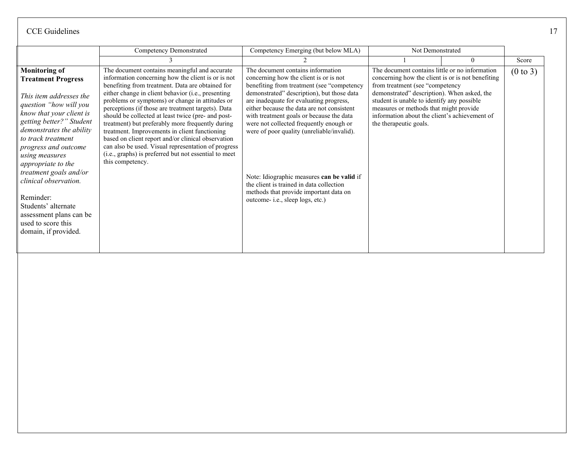|                                                                                                                                                                                                                                                                                                                                                                                                                                                  | Competency Demonstrated                                                                                                                                                                                                                                                                                                                                                                                                                                                                                                                                                                                                                                                     | Competency Emerging (but below MLA)                                                                                                                                                                                                                                                                                                                                                                                                                                                                                                                                           | Not Demonstrated                                                                                                                                                                                                                                                                                                                                         |          |                     |
|--------------------------------------------------------------------------------------------------------------------------------------------------------------------------------------------------------------------------------------------------------------------------------------------------------------------------------------------------------------------------------------------------------------------------------------------------|-----------------------------------------------------------------------------------------------------------------------------------------------------------------------------------------------------------------------------------------------------------------------------------------------------------------------------------------------------------------------------------------------------------------------------------------------------------------------------------------------------------------------------------------------------------------------------------------------------------------------------------------------------------------------------|-------------------------------------------------------------------------------------------------------------------------------------------------------------------------------------------------------------------------------------------------------------------------------------------------------------------------------------------------------------------------------------------------------------------------------------------------------------------------------------------------------------------------------------------------------------------------------|----------------------------------------------------------------------------------------------------------------------------------------------------------------------------------------------------------------------------------------------------------------------------------------------------------------------------------------------------------|----------|---------------------|
|                                                                                                                                                                                                                                                                                                                                                                                                                                                  |                                                                                                                                                                                                                                                                                                                                                                                                                                                                                                                                                                                                                                                                             |                                                                                                                                                                                                                                                                                                                                                                                                                                                                                                                                                                               |                                                                                                                                                                                                                                                                                                                                                          | $\theta$ | Score               |
| <b>Monitoring of</b><br><b>Treatment Progress</b><br>This item addresses the<br>question "how will you<br>know that your client is<br>getting better?" Student<br>demonstrates the ability<br>to track treatment<br>progress and outcome<br>using measures<br>appropriate to the<br>treatment goals and/or<br>clinical observation.<br>Reminder:<br>Students' alternate<br>assessment plans can be<br>used to score this<br>domain, if provided. | The document contains meaningful and accurate<br>information concerning how the client is or is not<br>benefiting from treatment. Data are obtained for<br>either change in client behavior (i.e., presenting<br>problems or symptoms) or change in attitudes or<br>perceptions (if those are treatment targets). Data<br>should be collected at least twice (pre- and post-<br>treatment) but preferably more frequently during<br>treatment. Improvements in client functioning<br>based on client report and/or clinical observation<br>can also be used. Visual representation of progress<br>(i.e., graphs) is preferred but not essential to meet<br>this competency. | The document contains information<br>concerning how the client is or is not<br>benefiting from treatment (see "competency<br>demonstrated" description), but those data<br>are inadequate for evaluating progress,<br>either because the data are not consistent<br>with treatment goals or because the data<br>were not collected frequently enough or<br>were of poor quality (unreliable/invalid).<br>Note: Idiographic measures can be valid if<br>the client is trained in data collection<br>methods that provide important data on<br>outcome- i.e., sleep logs, etc.) | The document contains little or no information<br>concerning how the client is or is not benefiting<br>from treatment (see "competency<br>demonstrated" description). When asked, the<br>student is unable to identify any possible<br>measures or methods that might provide<br>information about the client's achievement of<br>the therapeutic goals. |          | $(0 \text{ to } 3)$ |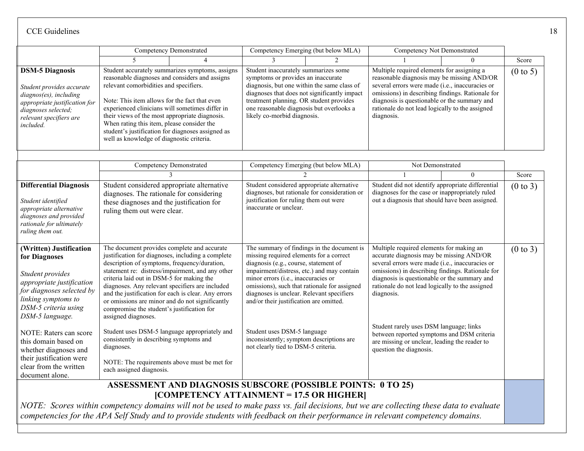|                                                                                                                                                                                          | <b>Competency Demonstrated</b><br>Competency Emerging (but below MLA)                                                                                                                                                                                                                                                                                                                                                                                                               |                                                                     |                                                                                                                                                                                                                                                                                                               | Competency Not Demonstrated                |                                                                                                                                                                                                                                                                                                                                                         |          |                     |
|------------------------------------------------------------------------------------------------------------------------------------------------------------------------------------------|-------------------------------------------------------------------------------------------------------------------------------------------------------------------------------------------------------------------------------------------------------------------------------------------------------------------------------------------------------------------------------------------------------------------------------------------------------------------------------------|---------------------------------------------------------------------|---------------------------------------------------------------------------------------------------------------------------------------------------------------------------------------------------------------------------------------------------------------------------------------------------------------|--------------------------------------------|---------------------------------------------------------------------------------------------------------------------------------------------------------------------------------------------------------------------------------------------------------------------------------------------------------------------------------------------------------|----------|---------------------|
|                                                                                                                                                                                          |                                                                                                                                                                                                                                                                                                                                                                                                                                                                                     |                                                                     |                                                                                                                                                                                                                                                                                                               |                                            |                                                                                                                                                                                                                                                                                                                                                         | $\Omega$ | Score               |
| <b>DSM-5 Diagnosis</b><br>Student provides accurate<br>diagnos(es), including<br>appropriate justification for<br>diagnoses selected;<br>relevant specifiers are<br>included.            | Student accurately summarizes symptoms, assigns<br>reasonable diagnoses and considers and assigns<br>relevant comorbidities and specifiers.<br>Note: This item allows for the fact that even<br>experienced clinicians will sometimes differ in<br>their views of the most appropriate diagnosis.<br>When rating this item, please consider the<br>student's justification for diagnoses assigned as<br>well as knowledge of diagnostic criteria.                                   |                                                                     | Student inaccurately summarizes some<br>symptoms or provides an inaccurate<br>diagnosis, but one within the same class of<br>diagnoses that does not significantly impact<br>treatment planning. OR student provides<br>one reasonable diagnosis but overlooks a<br>likely co-morbid diagnosis.               |                                            | Multiple required elements for assigning a<br>reasonable diagnosis may be missing AND/OR<br>several errors were made (i.e., inaccuracies or<br>omissions) in describing findings. Rationale for<br>diagnosis is questionable or the summary and<br>rationale do not lead logically to the assigned<br>diagnosis.                                        |          | $(0 \text{ to } 5)$ |
|                                                                                                                                                                                          |                                                                                                                                                                                                                                                                                                                                                                                                                                                                                     | <b>Competency Demonstrated</b>                                      |                                                                                                                                                                                                                                                                                                               | Competency Emerging (but below MLA)        | Not Demonstrated                                                                                                                                                                                                                                                                                                                                        |          |                     |
|                                                                                                                                                                                          |                                                                                                                                                                                                                                                                                                                                                                                                                                                                                     |                                                                     |                                                                                                                                                                                                                                                                                                               |                                            |                                                                                                                                                                                                                                                                                                                                                         | $\theta$ | Score               |
| <b>Differential Diagnosis</b><br>Student identified<br>appropriate alternative<br>diagnoses and provided<br>rationale for ultimately<br>ruling them out.                                 | Student considered appropriate alternative<br>diagnoses. The rationale for considering<br>these diagnoses and the justification for<br>ruling them out were clear.                                                                                                                                                                                                                                                                                                                  |                                                                     | Student considered appropriate alternative<br>diagnoses, but rationale for consideration or<br>justification for ruling them out were<br>inaccurate or unclear.                                                                                                                                               |                                            | Student did not identify appropriate differential<br>diagnoses for the case or inappropriately ruled<br>out a diagnosis that should have been assigned.                                                                                                                                                                                                 |          | (0 to 3)            |
| (Written) Justification<br>for Diagnoses<br>Student provides<br>appropriate justification<br>for diagnoses selected by<br>linking symptoms to<br>DSM-5 criteria using<br>DSM-5 language. | The document provides complete and accurate<br>justification for diagnoses, including a complete<br>description of symptoms, frequency/duration,<br>statement re: distress/impairment, and any other<br>criteria laid out in DSM-5 for making the<br>diagnoses. Any relevant specifiers are included<br>and the justification for each is clear. Any errors<br>or omissions are minor and do not significantly<br>compromise the student's justification for<br>assigned diagnoses. |                                                                     | missing required elements for a correct<br>diagnosis (e.g., course, statement of<br>impairment/distress, etc.) and may contain<br>minor errors (i.e., inaccuracies or<br>omissions), such that rationale for assigned<br>diagnoses is unclear. Relevant specifiers<br>and/or their justification are omitted. | The summary of findings in the document is | Multiple required elements for making an<br>accurate diagnosis may be missing AND/OR<br>several errors were made (i.e., inaccuracies or<br>omissions) in describing findings. Rationale for<br>diagnosis is questionable or the summary and<br>rationale do not lead logically to the assigned<br>diagnosis.<br>Student rarely uses DSM language; links |          | (0 to 3)            |
| NOTE: Raters can score<br>this domain based on<br>whether diagnoses and<br>their justification were<br>clear from the written<br>document alone.                                         | Student uses DSM-5 language appropriately and<br>consistently in describing symptoms and<br>diagnoses.<br>NOTE: The requirements above must be met for<br>each assigned diagnosis.                                                                                                                                                                                                                                                                                                  |                                                                     | Student uses DSM-5 language<br>inconsistently; symptom descriptions are<br>not clearly tied to DSM-5 criteria.                                                                                                                                                                                                |                                            | between reported symptoms and DSM criteria<br>are missing or unclear, leading the reader to<br>question the diagnosis.                                                                                                                                                                                                                                  |          |                     |
|                                                                                                                                                                                          |                                                                                                                                                                                                                                                                                                                                                                                                                                                                                     | <b>ASSESSMENT AND DIAGNOSIS SUBSCORE (POSSIBLE POINTS: 0 TO 25)</b> |                                                                                                                                                                                                                                                                                                               |                                            |                                                                                                                                                                                                                                                                                                                                                         |          |                     |

**[COMPETENCY ATTAINMENT = 17.5 OR HIGHER]**

*NOTE: Scores within competency domains will not be used to make pass vs. fail decisions, but we are collecting these data to evaluate competencies for the APA Self Study and to provide students with feedback on their performance in relevant competency domains.*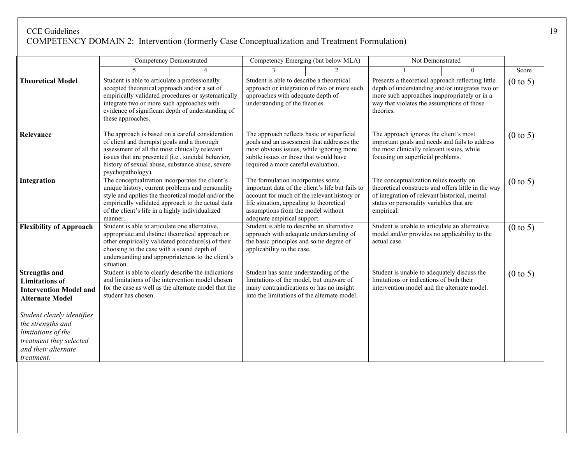#### CCE Guidelines 19 COMPETENCY DOMAIN 2: Intervention (formerly Case Conceptualization and Treatment Formulation)

|                                                                                                                                                                                                                                                   |                                                                                                                                                                                                                                                                                    | <b>Competency Demonstrated</b> |                                                                                                                                                                                                                                                                  | Competency Emerging (but below MLA) | Not Demonstrated                                                                                                                                                                                                |          |                     |
|---------------------------------------------------------------------------------------------------------------------------------------------------------------------------------------------------------------------------------------------------|------------------------------------------------------------------------------------------------------------------------------------------------------------------------------------------------------------------------------------------------------------------------------------|--------------------------------|------------------------------------------------------------------------------------------------------------------------------------------------------------------------------------------------------------------------------------------------------------------|-------------------------------------|-----------------------------------------------------------------------------------------------------------------------------------------------------------------------------------------------------------------|----------|---------------------|
|                                                                                                                                                                                                                                                   |                                                                                                                                                                                                                                                                                    |                                |                                                                                                                                                                                                                                                                  | $\mathfrak{D}$                      |                                                                                                                                                                                                                 | $\theta$ |                     |
| <b>Theoretical Model</b>                                                                                                                                                                                                                          | Student is able to articulate a professionally<br>accepted theoretical approach and/or a set of<br>empirically validated procedures or systematically<br>integrate two or more such approaches with<br>evidence of significant depth of understanding of<br>these approaches.      |                                | Student is able to describe a theoretical<br>approach or integration of two or more such<br>approaches with adequate depth of<br>understanding of the theories.                                                                                                  |                                     | Presents a theoretical approach reflecting little<br>depth of understanding and/or integrates two or<br>more such approaches inappropriately or in a<br>way that violates the assumptions of those<br>theories. |          | $(0 \text{ to } 5)$ |
| Relevance                                                                                                                                                                                                                                         | The approach is based on a careful consideration<br>of client and therapist goals and a thorough<br>assessment of all the most clinically relevant<br>issues that are presented (i.e., suicidal behavior,<br>history of sexual abuse, substance abuse, severe<br>psychopathology). |                                | The approach reflects basic or superficial<br>goals and an assessment that addresses the<br>most obvious issues, while ignoring more<br>subtle issues or those that would have<br>required a more careful evaluation.                                            |                                     | The approach ignores the client's most<br>important goals and needs and fails to address<br>the most clinically relevant issues, while<br>focusing on superficial problems.                                     |          | $(0 \text{ to } 5)$ |
| Integration                                                                                                                                                                                                                                       | The conceptualization incorporates the client's<br>unique history, current problems and personality<br>style and applies the theoretical model and/or the<br>empirically validated approach to the actual data<br>of the client's life in a highly individualized                  |                                | The formulation incorporates some<br>important data of the client's life but fails to<br>account for much of the relevant history or<br>life situation, appealing to theoretical<br>assumptions from the model without<br>adequate empirical support.<br>manner. |                                     | The conceptualization relies mostly on<br>theoretical constructs and offers little in the way<br>of integration of relevant historical, mental<br>status or personality variables that are<br>empirical.        |          | $(0 \text{ to } 5)$ |
| <b>Flexibility of Approach</b>                                                                                                                                                                                                                    | Student is able to articulate one alternative,<br>appropriate and distinct theoretical approach or<br>other empirically validated procedure(s) of their<br>choosing to the case with a sound depth of<br>understanding and appropriateness to the client's<br>situation.           |                                | Student is able to describe an alternative<br>approach with adequate understanding of<br>the basic principles and some degree of<br>applicability to the case.                                                                                                   |                                     | Student is unable to articulate an alternative<br>model and/or provides no applicability to the<br>actual case.                                                                                                 |          | $(0 \text{ to } 5)$ |
| <b>Strengths and</b><br><b>Limitations</b> of<br><b>Intervention Model and</b><br><b>Alternate Model</b><br>Student clearly identifies<br>the strengths and<br>limitations of the<br>treatment they selected<br>and their alternate<br>treatment. | Student is able to clearly describe the indications<br>and limitations of the intervention model chosen<br>for the case as well as the alternate model that the<br>student has chosen.                                                                                             |                                | Student has some understanding of the<br>limitations of the model, but unaware of<br>many contraindications or has no insight<br>into the limitations of the alternate model.                                                                                    |                                     | Student is unable to adequately discuss the<br>limitations or indications of both their<br>intervention model and the alternate model.                                                                          |          | $(0 \text{ to } 5)$ |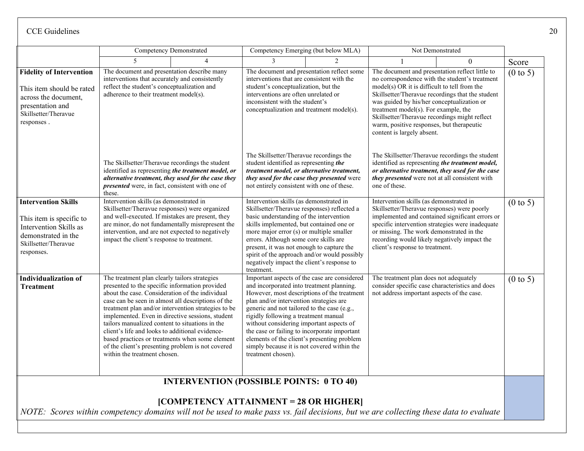|                                                                                                                                                |                                                                                                                                                                                                                                                                                                                                                                                                                                                                                                                                                                   |                                                | Competency Emerging (but below MLA)                                                                                                                                                                                                                                                                                                                                                                                                                                                        |  | Not Demonstrated                                                                                                                                                                                                                                                                                                                                                                                                        |          |                     |
|------------------------------------------------------------------------------------------------------------------------------------------------|-------------------------------------------------------------------------------------------------------------------------------------------------------------------------------------------------------------------------------------------------------------------------------------------------------------------------------------------------------------------------------------------------------------------------------------------------------------------------------------------------------------------------------------------------------------------|------------------------------------------------|--------------------------------------------------------------------------------------------------------------------------------------------------------------------------------------------------------------------------------------------------------------------------------------------------------------------------------------------------------------------------------------------------------------------------------------------------------------------------------------------|--|-------------------------------------------------------------------------------------------------------------------------------------------------------------------------------------------------------------------------------------------------------------------------------------------------------------------------------------------------------------------------------------------------------------------------|----------|---------------------|
|                                                                                                                                                |                                                                                                                                                                                                                                                                                                                                                                                                                                                                                                                                                                   |                                                |                                                                                                                                                                                                                                                                                                                                                                                                                                                                                            |  |                                                                                                                                                                                                                                                                                                                                                                                                                         | $\Omega$ | Score               |
| <b>Fidelity of Intervention</b><br>This item should be rated<br>across the document,<br>presentation and<br>Skillsetter/Theravue<br>responses. | The document and presentation describe many<br>interventions that accurately and consistently<br>reflect the student's conceptualization and<br>adherence to their treatment model(s).                                                                                                                                                                                                                                                                                                                                                                            |                                                | The document and presentation reflect some<br>interventions that are consistent with the<br>student's conceptualization, but the<br>interventions are often unrelated or<br>inconsistent with the student's<br>conceptualization and treatment model(s).                                                                                                                                                                                                                                   |  | The document and presentation reflect little to<br>no correspondence with the student's treatment<br>model(s) OR it is difficult to tell from the<br>Skillsetter/Theravue recordings that the student<br>was guided by his/her conceptualization or<br>treatment model(s). For example, the<br>Skillsetter/Theravue recordings might reflect<br>warm, positive responses, but therapeutic<br>content is largely absent. |          | $(0 \text{ to } 5)$ |
|                                                                                                                                                | The Skillsetter/Theravue recordings the student<br>identified as representing the treatment model, or<br>alternative treatment, they used for the case they<br>presented were, in fact, consistent with one of<br>these.                                                                                                                                                                                                                                                                                                                                          |                                                | The Skillsetter/Theravue recordings the<br>student identified as representing the<br>treatment model, or alternative treatment,<br>they used for the case they presented were<br>not entirely consistent with one of these.                                                                                                                                                                                                                                                                |  | The Skillsetter/Theravue recordings the student<br>identified as representing the treatment model,<br>or alternative treatment, they used for the case<br>they presented were not at all consistent with<br>one of these.                                                                                                                                                                                               |          |                     |
| <b>Intervention Skills</b><br>This item is specific to<br>Intervention Skills as<br>demonstrated in the<br>Skillsetter/Theravue<br>responses.  | Intervention skills (as demonstrated in<br>Skillsetter/Theravue responses) were organized<br>and well-executed. If mistakes are present, they<br>are minor, do not fundamentally misrepresent the<br>intervention, and are not expected to negatively<br>impact the client's response to treatment.                                                                                                                                                                                                                                                               |                                                | Intervention skills (as demonstrated in<br>Skillsetter/Theravue responses) reflected a<br>basic understanding of the intervention<br>skills implemented, but contained one or<br>more major error (s) or multiple smaller<br>errors. Although some core skills are<br>present, it was not enough to capture the<br>spirit of the approach and/or would possibly<br>negatively impact the client's response to<br>treatment.                                                                |  | Intervention skills (as demonstrated in<br>Skillsetter/Theravue responses) were poorly<br>implemented and contained significant errors or<br>specific intervention strategies were inadequate<br>or missing. The work demonstrated in the<br>recording would likely negatively impact the<br>client's response to treatment.                                                                                            |          | $(0 \text{ to } 5)$ |
| <b>Individualization of</b><br><b>Treatment</b>                                                                                                | The treatment plan clearly tailors strategies<br>presented to the specific information provided<br>about the case. Consideration of the individual<br>case can be seen in almost all descriptions of the<br>treatment plan and/or intervention strategies to be<br>implemented. Even in directive sessions, student<br>tailors manualized content to situations in the<br>client's life and looks to additional evidence-<br>based practices or treatments when some element<br>of the client's presenting problem is not covered<br>within the treatment chosen. |                                                | Important aspects of the case are considered<br>and incorporated into treatment planning.<br>However, most descriptions of the treatment<br>plan and/or intervention strategies are<br>generic and not tailored to the case (e.g.,<br>rigidly following a treatment manual<br>without considering important aspects of<br>the case or failing to incorporate important<br>elements of the client's presenting problem<br>simply because it is not covered within the<br>treatment chosen). |  | The treatment plan does not adequately<br>consider specific case characteristics and does<br>not address important aspects of the case.                                                                                                                                                                                                                                                                                 |          | $(0 \text{ to } 5)$ |
|                                                                                                                                                |                                                                                                                                                                                                                                                                                                                                                                                                                                                                                                                                                                   | <b>INTERVENTION (POSSIBLE POINTS: 0 TO 40)</b> |                                                                                                                                                                                                                                                                                                                                                                                                                                                                                            |  |                                                                                                                                                                                                                                                                                                                                                                                                                         |          |                     |

# **[COMPETENCY ATTAINMENT = 28 OR HIGHER]**

*NOTE: Scores within competency domains will not be used to make pass vs. fail decisions, but we are collecting these data to evaluate*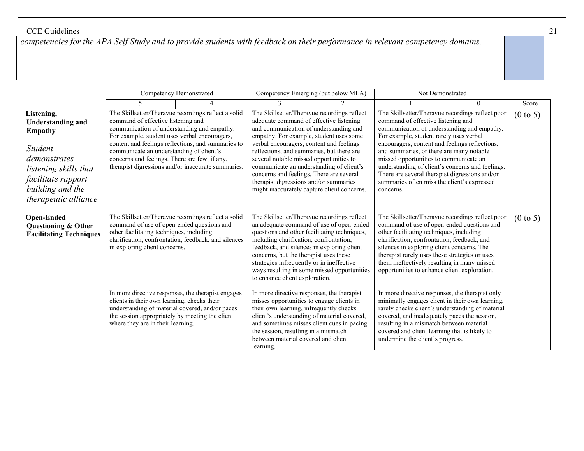*competencies for the APA Self Study and to provide students with feedback on their performance in relevant competency domains.*

|                                                                                                                                                                                       | Competency Demonstrated                                                                                                                                                                                                                                                                                                                                                                                                                                                                |  |                                                                                                                                                                                                                                                                                                                                                                                                                                                                                                  | Competency Emerging (but below MLA)                                                     | Not Demonstrated                                                                                                                                                                                                                                                                                                                                                                                                                                                                           |          |                     |
|---------------------------------------------------------------------------------------------------------------------------------------------------------------------------------------|----------------------------------------------------------------------------------------------------------------------------------------------------------------------------------------------------------------------------------------------------------------------------------------------------------------------------------------------------------------------------------------------------------------------------------------------------------------------------------------|--|--------------------------------------------------------------------------------------------------------------------------------------------------------------------------------------------------------------------------------------------------------------------------------------------------------------------------------------------------------------------------------------------------------------------------------------------------------------------------------------------------|-----------------------------------------------------------------------------------------|--------------------------------------------------------------------------------------------------------------------------------------------------------------------------------------------------------------------------------------------------------------------------------------------------------------------------------------------------------------------------------------------------------------------------------------------------------------------------------------------|----------|---------------------|
|                                                                                                                                                                                       |                                                                                                                                                                                                                                                                                                                                                                                                                                                                                        |  |                                                                                                                                                                                                                                                                                                                                                                                                                                                                                                  |                                                                                         |                                                                                                                                                                                                                                                                                                                                                                                                                                                                                            | $\theta$ | Score               |
| Listening,<br><b>Understanding and</b><br><b>Empathy</b><br><i>Student</i><br>demonstrates<br>listening skills that<br>facilitate rapport<br>building and the<br>therapeutic alliance | The Skillsetter/Theravue recordings reflect a solid<br>command of effective listening and<br>communication of understanding and empathy.<br>For example, student uses verbal encouragers,<br>content and feelings reflections, and summaries to<br>communicate an understanding of client's<br>concerns and feelings. There are few, if any,<br>therapist digressions and/or inaccurate summaries.                                                                                     |  | The Skillsetter/Theravue recordings reflect<br>adequate command of effective listening<br>and communication of understanding and<br>empathy. For example, student uses some<br>verbal encouragers, content and feelings<br>reflections, and summaries, but there are<br>several notable missed opportunities to<br>communicate an understanding of client's<br>concerns and feelings. There are several<br>therapist digressions and/or summaries<br>might inaccurately capture client concerns. |                                                                                         | The Skillsetter/Theravue recordings reflect poor<br>command of effective listening and<br>communication of understanding and empathy.<br>For example, student rarely uses verbal<br>encouragers, content and feelings reflections,<br>and summaries, or there are many notable<br>missed opportunities to communicate an<br>understanding of client's concerns and feelings.<br>There are several therapist digressions and/or<br>summaries often miss the client's expressed<br>concerns. |          | $(0 \text{ to } 5)$ |
| <b>Open-Ended</b><br>Questioning & Other<br><b>Facilitating Techniques</b>                                                                                                            | The Skillsetter/Theravue recordings reflect a solid<br>command of use of open-ended questions and<br>other facilitating techniques, including<br>clarification, confrontation, feedback, and silences<br>in exploring client concerns.<br>In more directive responses, the therapist engages<br>clients in their own learning, checks their<br>understanding of material covered, and/or paces<br>the session appropriately by meeting the client<br>where they are in their learning. |  | The Skillsetter/Theravue recordings reflect<br>questions and other facilitating techniques,<br>including clarification, confrontation,<br>feedback, and silences in exploring client<br>concerns, but the therapist uses these<br>strategies infrequently or in ineffective<br>to enhance client exploration.                                                                                                                                                                                    | an adequate command of use of open-ended<br>ways resulting in some missed opportunities | The Skillsetter/Theravue recordings reflect poor<br>command of use of open-ended questions and<br>other facilitating techniques, including<br>clarification, confrontation, feedback, and<br>silences in exploring client concerns. The<br>therapist rarely uses these strategies or uses<br>them ineffectively resulting in many missed<br>opportunities to enhance client exploration.                                                                                                   |          | $(0 \text{ to } 5)$ |
|                                                                                                                                                                                       |                                                                                                                                                                                                                                                                                                                                                                                                                                                                                        |  | In more directive responses, the therapist<br>misses opportunities to engage clients in<br>their own learning, infrequently checks<br>client's understanding of material covered,<br>and sometimes misses client cues in pacing<br>the session, resulting in a mismatch<br>between material covered and client<br>learning.                                                                                                                                                                      |                                                                                         | In more directive responses, the therapist only<br>minimally engages client in their own learning,<br>rarely checks client's understanding of material<br>covered, and inadequately paces the session,<br>resulting in a mismatch between material<br>covered and client learning that is likely to<br>undermine the client's progress.                                                                                                                                                    |          |                     |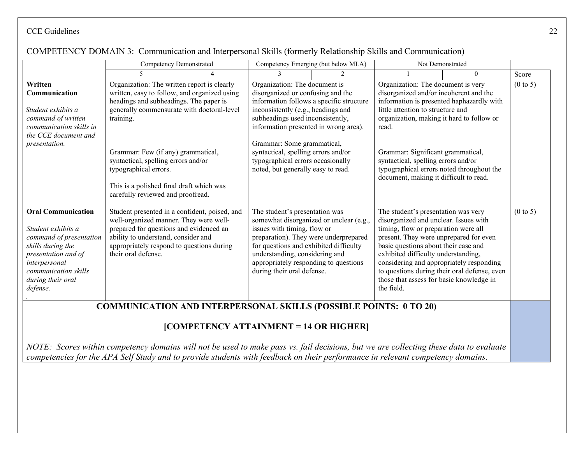#### Competency Demonstrated Competency Emerging (but below MLA) Not Demonstrated 5 4 3 2 1 0 Score **Written Communication** *Student exhibits a command of written communication skills in the CCE document and presentation.*  Organization: The written report is clearly written, easy to follow, and organized using headings and subheadings. The paper is generally commensurate with doctoral-level training. Grammar: Few (if any) grammatical, syntactical, spelling errors and/or typographical errors. This is a polished final draft which was carefully reviewed and proofread. Organization: The document is disorganized or confusing and the information follows a specific structure inconsistently (e.g., headings and subheadings used inconsistently, information presented in wrong area). Grammar: Some grammatical, syntactical, spelling errors and/or typographical errors occasionally noted, but generally easy to read. Organization: The document is very disorganized and/or incoherent and the information is presented haphazardly with little attention to structure and organization, making it hard to follow or read. Grammar: Significant grammatical, syntactical, spelling errors and/or typographical errors noted throughout the document, making it difficult to read.  $(0 \text{ to } 5)$ **Oral Communication** *Student exhibits a command of presentation skills during the presentation and of interpersonal communication skills during their oral defense. .* Student presented in a confident, poised, and well-organized manner. They were wellprepared for questions and evidenced an ability to understand, consider and appropriately respond to questions during their oral defense. The student's presentation was somewhat disorganized or unclear (e.g., issues with timing, flow or preparation). They were underprepared for questions and exhibited difficulty understanding, considering and appropriately responding to questions during their oral defense. The student's presentation was very disorganized and unclear. Issues with timing, flow or preparation were all present. They were unprepared for even basic questions about their case and exhibited difficulty understanding, considering and appropriately responding to questions during their oral defense, even those that assess for basic knowledge in the field.  $(0 \text{ to } 5)$ **COMMUNICATION AND INTERPERSONAL SKILLS (POSSIBLE POINTS: 0 TO 20)**

# COMPETENCY DOMAIN 3: Communication and Interpersonal Skills (formerly Relationship Skills and Communication)

# **[COMPETENCY ATTAINMENT = 14 OR HIGHER]**

*NOTE: Scores within competency domains will not be used to make pass vs. fail decisions, but we are collecting these data to evaluate competencies for the APA Self Study and to provide students with feedback on their performance in relevant competency domains.*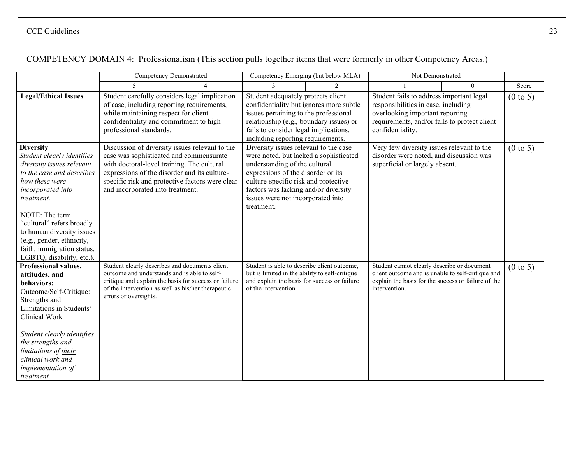|                                                                                                                                                                                                                                                                                                                                   | <b>Competency Demonstrated</b>                                                                                                                                                                                                                                                 |                                                                                                             | Competency Emerging (but below MLA)                                                                                                                                                                                                                                                       |                |                                                                                                                                                                                        | Not Demonstrated |                     |
|-----------------------------------------------------------------------------------------------------------------------------------------------------------------------------------------------------------------------------------------------------------------------------------------------------------------------------------|--------------------------------------------------------------------------------------------------------------------------------------------------------------------------------------------------------------------------------------------------------------------------------|-------------------------------------------------------------------------------------------------------------|-------------------------------------------------------------------------------------------------------------------------------------------------------------------------------------------------------------------------------------------------------------------------------------------|----------------|----------------------------------------------------------------------------------------------------------------------------------------------------------------------------------------|------------------|---------------------|
|                                                                                                                                                                                                                                                                                                                                   | $\overline{\mathbf{5}}$                                                                                                                                                                                                                                                        |                                                                                                             |                                                                                                                                                                                                                                                                                           | $\mathfrak{D}$ | $\Omega$                                                                                                                                                                               |                  | Score               |
| <b>Legal/Ethical Issues</b>                                                                                                                                                                                                                                                                                                       | Student carefully considers legal implication<br>of case, including reporting requirements,<br>while maintaining respect for client<br>confidentiality and commitment to high<br>professional standards.                                                                       |                                                                                                             | Student adequately protects client<br>confidentiality but ignores more subtle<br>issues pertaining to the professional<br>relationship (e.g., boundary issues) or<br>fails to consider legal implications,<br>including reporting requirements.                                           |                | Student fails to address important legal<br>responsibilities in case, including<br>overlooking important reporting<br>requirements, and/or fails to protect client<br>confidentiality. |                  | $(0 \text{ to } 5)$ |
| <b>Diversity</b><br>Student clearly identifies<br>diversity issues relevant<br>to the case and describes<br>how these were<br>incorporated into<br>treatment.<br>NOTE: The term<br>"cultural" refers broadly<br>to human diversity issues<br>(e.g., gender, ethnicity,<br>faith, immigration status,<br>LGBTQ, disability, etc.). | Discussion of diversity issues relevant to the<br>case was sophisticated and commensurate<br>with doctoral-level training. The cultural<br>expressions of the disorder and its culture-<br>specific risk and protective factors were clear<br>and incorporated into treatment. |                                                                                                             | Diversity issues relevant to the case<br>were noted, but lacked a sophisticated<br>understanding of the cultural<br>expressions of the disorder or its<br>culture-specific risk and protective<br>factors was lacking and/or diversity<br>issues were not incorporated into<br>treatment. |                | Very few diversity issues relevant to the<br>disorder were noted, and discussion was<br>superficial or largely absent.                                                                 |                  | $(0 \text{ to } 5)$ |
| Professional values,<br>attitudes, and<br>behaviors:<br>Outcome/Self-Critique:<br>Strengths and<br>Limitations in Students'<br>Clinical Work<br>Student clearly identifies<br>the strengths and<br>limitations of their<br>clinical work and<br><i>implementation</i> of<br>treatment.                                            | Student clearly describes and documents client<br>outcome and understands and is able to self-<br>errors or oversights.                                                                                                                                                        | critique and explain the basis for success or failure<br>of the intervention as well as his/her therapeutic | Student is able to describe client outcome,<br>but is limited in the ability to self-critique<br>and explain the basis for success or failure<br>of the intervention.                                                                                                                     |                | Student cannot clearly describe or document<br>client outcome and is unable to self-critique and<br>explain the basis for the success or failure of the<br>intervention.               |                  | $(0 \text{ to } 5)$ |

# COMPETENCY DOMAIN 4: Professionalism (This section pulls together items that were formerly in other Competency Areas.)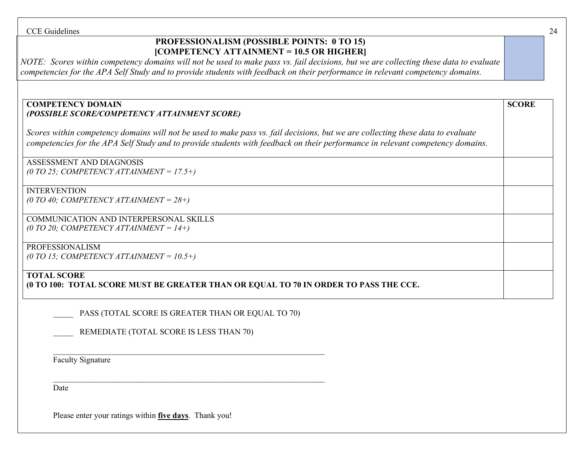# **PROFESSIONALISM (POSSIBLE POINTS: 0 TO 15) [COMPETENCY ATTAINMENT = 10.5 OR HIGHER]**

*NOTE: Scores within competency domains will not be used to make pass vs. fail decisions, but we are collecting these data to evaluate competencies for the APA Self Study and to provide students with feedback on their performance in relevant competency domains.*

#### **COMPETENCY DOMAIN**  *(POSSIBLE SCORE/COMPETENCY ATTAINMENT SCORE)*

*Scores within competency domains will not be used to make pass vs. fail decisions, but we are collecting these data to evaluate competencies for the APA Self Study and to provide students with feedback on their performance in relevant competency domains.*

ASSESSMENT AND DIAGNOSIS *(0 TO 25; COMPETENCY ATTAINMENT = 17.5+)*

# INTERVENTION

*(0 TO 40; COMPETENCY ATTAINMENT = 28+)*

COMMUNICATION AND INTERPERSONAL SKILLS *(0 TO 20; COMPETENCY ATTAINMENT = 14+)*

#### PROFESSIONALISM

*(0 TO 15; COMPETENCY ATTAINMENT = 10.5+)*

# **TOTAL SCORE**

**(0 TO 100: TOTAL SCORE MUST BE GREATER THAN OR EQUAL TO 70 IN ORDER TO PASS THE CCE.**

PASS (TOTAL SCORE IS GREATER THAN OR EQUAL TO 70)

 $\mathcal{L}_\text{max}$  , and the contract of the contract of the contract of the contract of the contract of the contract of

 $\mathcal{L}_\text{max}$  , and the contract of the contract of the contract of the contract of the contract of the contract of

REMEDIATE (TOTAL SCORE IS LESS THAN 70)

Faculty Signature

Date

Please enter your ratings within **five days**. Thank you!

**SCORE**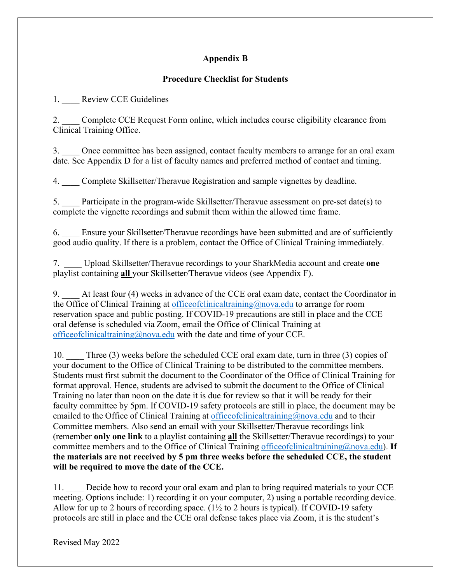# **Appendix B**

# **Procedure Checklist for Students**

1. Review CCE Guidelines

2. Complete CCE Request Form online, which includes course eligibility clearance from Clinical Training Office.

3. Once committee has been assigned, contact faculty members to arrange for an oral exam date. See Appendix D for a list of faculty names and preferred method of contact and timing.

4. \_\_\_\_ Complete Skillsetter/Theravue Registration and sample vignettes by deadline.

5. \_\_\_\_ Participate in the program-wide Skillsetter/Theravue assessment on pre-set date(s) to complete the vignette recordings and submit them within the allowed time frame.

6. \_\_\_\_ Ensure your Skillsetter/Theravue recordings have been submitted and are of sufficiently good audio quality. If there is a problem, contact the Office of Clinical Training immediately.

7. \_\_\_\_ Upload Skillsetter/Theravue recordings to your SharkMedia account and create **one** playlist containing **all** your Skillsetter/Theravue videos (see Appendix F).

9. \_\_\_\_ At least four (4) weeks in advance of the CCE oral exam date, contact the Coordinator in the Office of Clinical Training at [officeofclinicaltraining@nova.edu](mailto:officeofclinicaltraining@nova.edu) to arrange for room reservation space and public posting. If COVID-19 precautions are still in place and the CCE oral defense is scheduled via Zoom, email the Office of Clinical Training at [officeofclinicaltraining@nova.edu](mailto:officeofclinicaltraining@nova.edu) with the date and time of your CCE.

10. Three (3) weeks before the scheduled CCE oral exam date, turn in three (3) copies of your document to the Office of Clinical Training to be distributed to the committee members. Students must first submit the document to the Coordinator of the Office of Clinical Training for format approval. Hence, students are advised to submit the document to the Office of Clinical Training no later than noon on the date it is due for review so that it will be ready for their faculty committee by 5pm. If COVID-19 safety protocols are still in place, the document may be emailed to the Office of Clinical Training at office of clinical training  $\omega$  nova.edu and to their Committee members. Also send an email with your Skillsetter/Theravue recordings link (remember **only one link** to a playlist containing **all** the Skillsetter/Theravue recordings) to your committee members and to the Office of Clinical Training [officeofclinicaltraining@nova.edu\)](mailto:officeofclinicaltraining@nova.edu). **If the materials are not received by 5 pm three weeks before the scheduled CCE, the student will be required to move the date of the CCE.**

11. Decide how to record your oral exam and plan to bring required materials to your CCE meeting. Options include: 1) recording it on your computer, 2) using a portable recording device. Allow for up to 2 hours of recording space. ( $1\frac{1}{2}$  to 2 hours is typical). If COVID-19 safety protocols are still in place and the CCE oral defense takes place via Zoom, it is the student's

Revised May 2022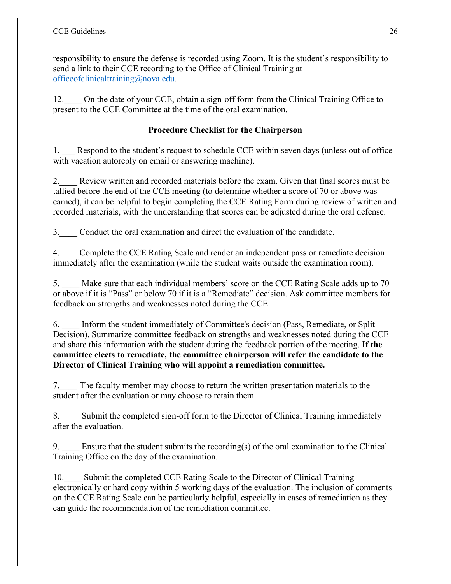responsibility to ensure the defense is recorded using Zoom. It is the student's responsibility to send a link to their CCE recording to the Office of Clinical Training at [officeofclinicaltraining@nova.edu.](mailto:officeofclinicaltraining@nova.edu)

12. On the date of your CCE, obtain a sign-off form from the Clinical Training Office to present to the CCE Committee at the time of the oral examination.

# **Procedure Checklist for the Chairperson**

1. Respond to the student's request to schedule CCE within seven days (unless out of office with vacation autoreply on email or answering machine).

2. Review written and recorded materials before the exam. Given that final scores must be tallied before the end of the CCE meeting (to determine whether a score of 70 or above was earned), it can be helpful to begin completing the CCE Rating Form during review of written and recorded materials, with the understanding that scores can be adjusted during the oral defense.

3.\_\_\_\_ Conduct the oral examination and direct the evaluation of the candidate.

4. Complete the CCE Rating Scale and render an independent pass or remediate decision immediately after the examination (while the student waits outside the examination room).

5. Make sure that each individual members' score on the CCE Rating Scale adds up to 70 or above if it is "Pass" or below 70 if it is a "Remediate" decision. Ask committee members for feedback on strengths and weaknesses noted during the CCE.

6. \_\_\_\_ Inform the student immediately of Committee's decision (Pass, Remediate, or Split Decision). Summarize committee feedback on strengths and weaknesses noted during the CCE and share this information with the student during the feedback portion of the meeting. **If the committee elects to remediate, the committee chairperson will refer the candidate to the Director of Clinical Training who will appoint a remediation committee.** 

7. The faculty member may choose to return the written presentation materials to the student after the evaluation or may choose to retain them.

8. \_\_\_\_ Submit the completed sign-off form to the Director of Clinical Training immediately after the evaluation.

9.  $\blacksquare$  Ensure that the student submits the recording(s) of the oral examination to the Clinical Training Office on the day of the examination.

10. Submit the completed CCE Rating Scale to the Director of Clinical Training electronically or hard copy within 5 working days of the evaluation. The inclusion of comments on the CCE Rating Scale can be particularly helpful, especially in cases of remediation as they can guide the recommendation of the remediation committee.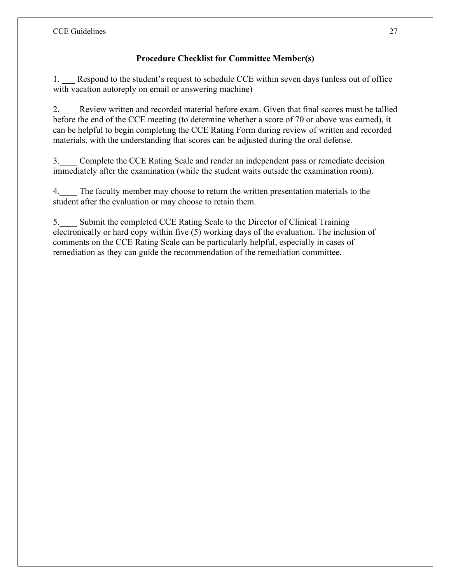# **Procedure Checklist for Committee Member(s)**

1. Respond to the student's request to schedule CCE within seven days (unless out of office with vacation autoreply on email or answering machine)

2. Review written and recorded material before exam. Given that final scores must be tallied before the end of the CCE meeting (to determine whether a score of 70 or above was earned), it can be helpful to begin completing the CCE Rating Form during review of written and recorded materials, with the understanding that scores can be adjusted during the oral defense.

3. Complete the CCE Rating Scale and render an independent pass or remediate decision immediately after the examination (while the student waits outside the examination room).

4. The faculty member may choose to return the written presentation materials to the student after the evaluation or may choose to retain them.

5.\_\_\_\_ Submit the completed CCE Rating Scale to the Director of Clinical Training electronically or hard copy within five (5) working days of the evaluation. The inclusion of comments on the CCE Rating Scale can be particularly helpful, especially in cases of remediation as they can guide the recommendation of the remediation committee.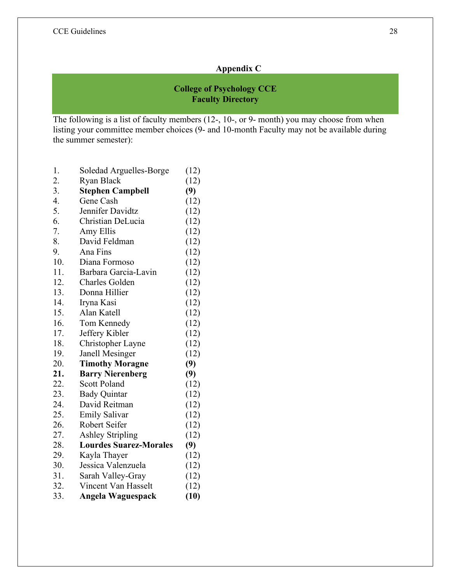# **Appendix C**

# **College of Psychology CCE Faculty Directory**

The following is a list of faculty members (12-, 10-, or 9- month) you may choose from when listing your committee member choices (9- and 10-month Faculty may not be available during the summer semester):

| 1.  | Soledad Arguelles-Borge       | (12) |
|-----|-------------------------------|------|
| 2.  | Ryan Black                    | (12) |
| 3.  | <b>Stephen Campbell</b>       | (9)  |
| 4.  | Gene Cash                     | (12) |
| 5.  | Jennifer Davidtz              | (12) |
| 6.  | Christian DeLucia             | (12) |
| 7.  | Amy Ellis                     | (12) |
| 8.  | David Feldman                 | (12) |
| 9.  | Ana Fins                      | (12) |
| 10. | Diana Formoso                 | (12) |
| 11. | Barbara Garcia-Lavin          | (12) |
| 12. | <b>Charles Golden</b>         | (12) |
| 13. | Donna Hillier                 | (12) |
| 14. | Iryna Kasi                    | (12) |
| 15. | Alan Katell                   | (12) |
| 16. | Tom Kennedy                   | (12) |
| 17. | Jeffery Kibler                | (12) |
| 18. | Christopher Layne             | (12) |
| 19. | Janell Mesinger               | (12) |
| 20. | <b>Timothy Moragne</b>        | (9)  |
| 21. | <b>Barry Nierenberg</b>       | (9)  |
| 22. | <b>Scott Poland</b>           | (12) |
| 23. | <b>Bady Quintar</b>           | (12) |
| 24. | David Reitman                 | (12) |
| 25. | <b>Emily Salivar</b>          | (12) |
| 26. | Robert Seifer                 | (12) |
| 27. | <b>Ashley Stripling</b>       | (12) |
| 28. | <b>Lourdes Suarez-Morales</b> | (9)  |
| 29. | Kayla Thayer                  | (12) |
| 30. | Jessica Valenzuela            | (12) |
| 31. | Sarah Valley-Gray             | (12) |
| 32. | Vincent Van Hasselt           | (12) |
| 33. | Angela Waguespack             | (10) |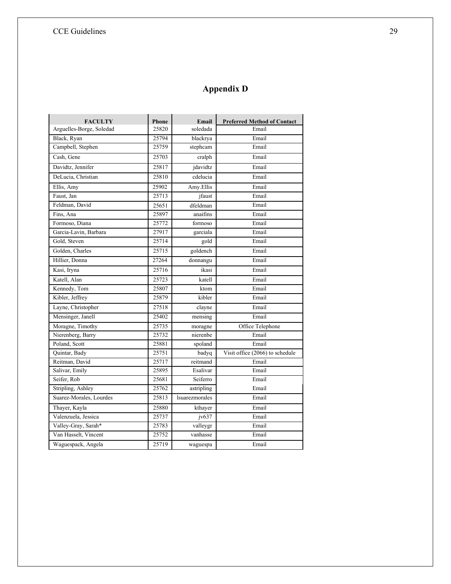# **Appendix D**

| <b>FACULTY</b>           | Phone | Email                 | <b>Preferred Method of Contact</b> |
|--------------------------|-------|-----------------------|------------------------------------|
| Arguelles-Borge, Soledad | 25820 | soledada              | Email                              |
| Black, Ryan              | 25794 | blackrya              | Email                              |
| Campbell, Stephen        | 25759 | stephcam              | Email                              |
| Cash, Gene               | 25703 | cralph                | Email                              |
| Davidtz, Jennifer        | 25817 | jdavidtz              | Email                              |
| DeLucia, Christian       | 25810 | cdelucia              | Email                              |
| Ellis, Amy               | 25902 | Amy.Ellis             | Email                              |
| Faust, Jan               | 25713 | jfaust                | Email                              |
| Feldman, David           | 25651 | dfeldman              | Email                              |
| Fins, Ana                | 25897 | anaifins              | Email                              |
| Formoso, Diana           | 25772 | formoso               | Email                              |
| Garcia-Lavin, Barbara    | 27917 | garciala              | Email                              |
| Gold, Steven             | 25714 | gold                  | Email                              |
| Golden, Charles          | 25715 | goldench              | Email                              |
| Hillier, Donna           | 27264 | donnangu              | Email                              |
| Kasi, Iryna              | 25716 | ikasi                 | Email                              |
| Katell, Alan             | 25723 | katell                | Email                              |
| Kennedy, Tom             | 25807 | ktom                  | Email                              |
| Kibler, Jeffrey          | 25879 | kibler                | Email                              |
| Layne, Christopher       | 27518 | clayne                | Email                              |
| Mensinger, Janell        | 25402 | mensing               | Email                              |
| Moragne, Timothy         | 25735 | moragne               | Office Telephone                   |
| Nierenberg, Barry        | 25732 | nierenbe              | Email                              |
| Poland, Scott            | 25881 | spoland               | Email                              |
| Quintar, Bady            | 25751 | badyq                 | Visit office (2066) to schedule    |
| Reitman, David           | 25717 | reitmand              | Email                              |
| Salivar, Emily           | 25895 | Esalivar              | Email                              |
| Seifer, Rob              | 25681 | Seiferro              | Email                              |
| Stripling, Ashley        | 25762 | astripling            | Email                              |
| Suarez-Morales, Lourdes  | 25813 | <b>lsuarezmorales</b> | Email                              |
| Thayer, Kayla            | 25880 | kthayer               | Email                              |
| Valenzuela, Jessica      | 25737 | iv637                 | Email                              |
| Valley-Gray, Sarah*      | 25783 | valleygr              | Email                              |
| Van Hasselt, Vincent     | 25752 | vanhasse              | Email                              |
| Waguespack, Angela       | 25719 | waguespa              | Email                              |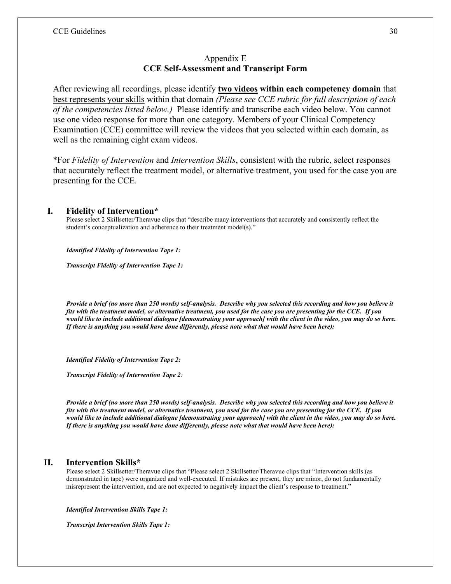#### Appendix E **CCE Self-Assessment and Transcript Form**

After reviewing all recordings, please identify **two videos within each competency domain** that best represents your skills within that domain *(Please see CCE rubric for full description of each of the competencies listed below.)* Please identify and transcribe each video below. You cannot use one video response for more than one category. Members of your Clinical Competency Examination (CCE) committee will review the videos that you selected within each domain, as well as the remaining eight exam videos.

\*For *Fidelity of Intervention* and *Intervention Skills*, consistent with the rubric, select responses that accurately reflect the treatment model, or alternative treatment, you used for the case you are presenting for the CCE.

#### **I. Fidelity of Intervention\***

Please select 2 Skillsetter/Theravue clips that "describe many interventions that accurately and consistently reflect the student's conceptualization and adherence to their treatment model(s)."

*Identified Fidelity of Intervention Tape 1:*

*Transcript Fidelity of Intervention Tape 1:*

*Provide a brief (no more than 250 words) self-analysis. Describe why you selected this recording and how you believe it fits with the treatment model, or alternative treatment, you used for the case you are presenting for the CCE. If you would like to include additional dialogue [demonstrating your approach] with the client in the video, you may do so here. If there is anything you would have done differently, please note what that would have been here):*

*Identified Fidelity of Intervention Tape 2:*

*Transcript Fidelity of Intervention Tape 2:*

*Provide a brief (no more than 250 words) self-analysis. Describe why you selected this recording and how you believe it fits with the treatment model, or alternative treatment, you used for the case you are presenting for the CCE. If you would like to include additional dialogue [demonstrating your approach] with the client in the video, you may do so here. If there is anything you would have done differently, please note what that would have been here):*

#### **II. Intervention Skills\***

Please select 2 Skillsetter/Theravue clips that "Please select 2 Skillsetter/Theravue clips that "Intervention skills (as demonstrated in tape) were organized and well-executed. If mistakes are present, they are minor, do not fundamentally misrepresent the intervention, and are not expected to negatively impact the client's response to treatment."

*Identified Intervention Skills Tape 1:*

*Transcript Intervention Skills Tape 1:*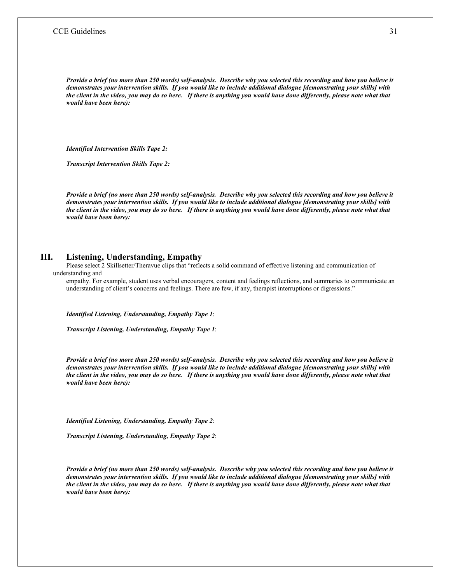*Provide a brief (no more than 250 words) self-analysis. Describe why you selected this recording and how you believe it demonstrates your intervention skills. If you would like to include additional dialogue [demonstrating your skills] with the client in the video, you may do so here. If there is anything you would have done differently, please note what that would have been here):*

*Identified Intervention Skills Tape 2:*

*Transcript Intervention Skills Tape 2:*

*Provide a brief (no more than 250 words) self-analysis. Describe why you selected this recording and how you believe it demonstrates your intervention skills. If you would like to include additional dialogue [demonstrating your skills] with the client in the video, you may do so here. If there is anything you would have done differently, please note what that would have been here):*

#### **III. Listening, Understanding, Empathy**

Please select 2 Skillsetter/Theravue clips that "reflects a solid command of effective listening and communication of understanding and

empathy. For example, student uses verbal encouragers, content and feelings reflections, and summaries to communicate an understanding of client's concerns and feelings. There are few, if any, therapist interruptions or digressions."

*Identified Listening, Understanding, Empathy Tape 1*:

*Transcript Listening, Understanding, Empathy Tape 1*:

*Provide a brief (no more than 250 words) self-analysis. Describe why you selected this recording and how you believe it demonstrates your intervention skills. If you would like to include additional dialogue [demonstrating your skills] with the client in the video, you may do so here. If there is anything you would have done differently, please note what that would have been here):*

*Identified Listening, Understanding, Empathy Tape 2*:

*Transcript Listening, Understanding, Empathy Tape 2*:

*Provide a brief (no more than 250 words) self-analysis. Describe why you selected this recording and how you believe it demonstrates your intervention skills. If you would like to include additional dialogue [demonstrating your skills] with the client in the video, you may do so here. If there is anything you would have done differently, please note what that would have been here):*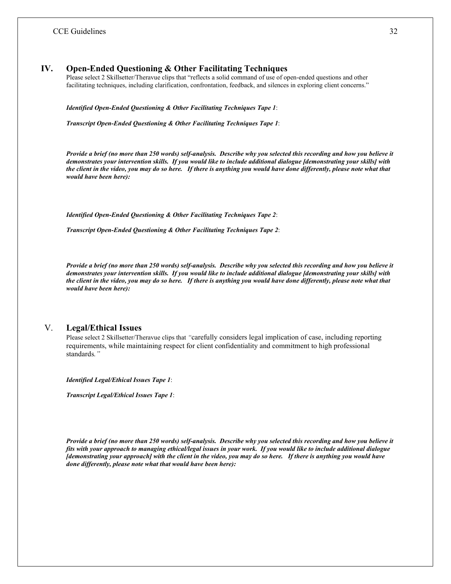#### **IV. Open-Ended Questioning & Other Facilitating Techniques**

Please select 2 Skillsetter/Theravue clips that "reflects a solid command of use of open-ended questions and other facilitating techniques, including clarification, confrontation, feedback, and silences in exploring client concerns."

*Identified Open-Ended Questioning & Other Facilitating Techniques Tape 1*:

*Transcript Open-Ended Questioning & Other Facilitating Techniques Tape 1*:

*Provide a brief (no more than 250 words) self-analysis. Describe why you selected this recording and how you believe it demonstrates your intervention skills. If you would like to include additional dialogue [demonstrating your skills] with*  the client in the video, you may do so here. If there is anything you would have done differently, please note what that *would have been here):*

*Identified Open-Ended Questioning & Other Facilitating Techniques Tape 2*:

*Transcript Open-Ended Questioning & Other Facilitating Techniques Tape 2*:

*Provide a brief (no more than 250 words) self-analysis. Describe why you selected this recording and how you believe it demonstrates your intervention skills. If you would like to include additional dialogue [demonstrating your skills] with*  the client in the video, you may do so here. If there is anything you would have done differently, please note what that *would have been here):*

#### V. **Legal/Ethical Issues**

Please select 2 Skillsetter/Theravue clips that *"*carefully considers legal implication of case, including reporting requirements, while maintaining respect for client confidentiality and commitment to high professional standards*."*

*Identified Legal/Ethical Issues Tape 1*:

*Transcript Legal/Ethical Issues Tape 1*:

*Provide a brief (no more than 250 words) self-analysis. Describe why you selected this recording and how you believe it fits with your approach to managing ethical/legal issues in your work. If you would like to include additional dialogue [demonstrating your approach] with the client in the video, you may do so here. If there is anything you would have done differently, please note what that would have been here):*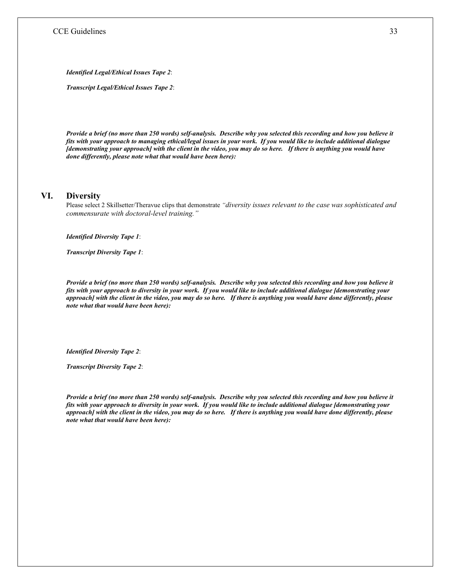*Identified Legal/Ethical Issues Tape 2*:

*Transcript Legal/Ethical Issues Tape 2*:

*Provide a brief (no more than 250 words) self-analysis. Describe why you selected this recording and how you believe it fits with your approach to managing ethical/legal issues in your work. If you would like to include additional dialogue [demonstrating your approach] with the client in the video, you may do so here. If there is anything you would have done differently, please note what that would have been here):*

#### **VI. Diversity**

Please select 2 Skillsetter/Theravue clips that demonstrate *"diversity issues relevant to the case was sophisticated and commensurate with doctoral-level training."* 

*Identified Diversity Tape 1*:

*Transcript Diversity Tape 1*:

*Provide a brief (no more than 250 words) self-analysis. Describe why you selected this recording and how you believe it fits with your approach to diversity in your work. If you would like to include additional dialogue [demonstrating your approach] with the client in the video, you may do so here. If there is anything you would have done differently, please note what that would have been here):*

*Identified Diversity Tape 2*:

*Transcript Diversity Tape 2*:

*Provide a brief (no more than 250 words) self-analysis. Describe why you selected this recording and how you believe it fits with your approach to diversity in your work. If you would like to include additional dialogue [demonstrating your approach] with the client in the video, you may do so here. If there is anything you would have done differently, please note what that would have been here):*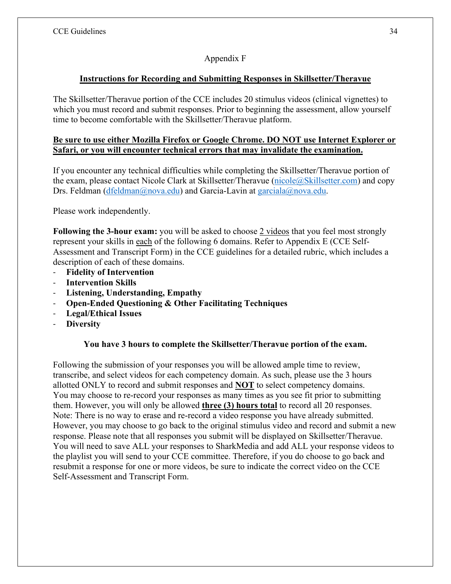# Appendix F

# **Instructions for Recording and Submitting Responses in Skillsetter/Theravue**

The Skillsetter/Theravue portion of the CCE includes 20 stimulus videos (clinical vignettes) to which you must record and submit responses. Prior to beginning the assessment, allow yourself time to become comfortable with the Skillsetter/Theravue platform.

#### **Be sure to use either Mozilla Firefox or Google Chrome. DO NOT use Internet Explorer or Safari, or you will encounter technical errors that may invalidate the examination.**

If you encounter any technical difficulties while completing the Skillsetter/Theravue portion of the exam, please contact Nicole Clark at Skillsetter/Theravue [\(nicole@Skillsetter.com\)](mailto:nicole@Skillsetter.com) and copy Drs. Feldman [\(dfeldman@nova.edu\)](mailto:dfeldman@nova.edu) and Garcia-Lavin at [garciala@nova.edu.](mailto:garciala@nova.edu)

Please work independently.

**Following the 3-hour exam:** you will be asked to choose 2 videos that you feel most strongly represent your skills in each of the following 6 domains. Refer to Appendix E (CCE Self-Assessment and Transcript Form) in the CCE guidelines for a detailed rubric, which includes a description of each of these domains.

- **Fidelity of Intervention**
- **Intervention Skills**
- **Listening, Understanding, Empathy**
- **Open-Ended Questioning & Other Facilitating Techniques**
- **Legal/Ethical Issues**
- **Diversity**

# **You have 3 hours to complete the Skillsetter/Theravue portion of the exam.**

Following the submission of your responses you will be allowed ample time to review, transcribe, and select videos for each competency domain. As such, please use the 3 hours allotted ONLY to record and submit responses and **NOT** to select competency domains. You may choose to re-record your responses as many times as you see fit prior to submitting them. However, you will only be allowed **three (3) hours total** to record all 20 responses. Note: There is no way to erase and re-record a video response you have already submitted. However, you may choose to go back to the original stimulus video and record and submit a new response. Please note that all responses you submit will be displayed on Skillsetter/Theravue. You will need to save ALL your responses to SharkMedia and add ALL your response videos to the playlist you will send to your CCE committee. Therefore, if you do choose to go back and resubmit a response for one or more videos, be sure to indicate the correct video on the CCE Self-Assessment and Transcript Form.